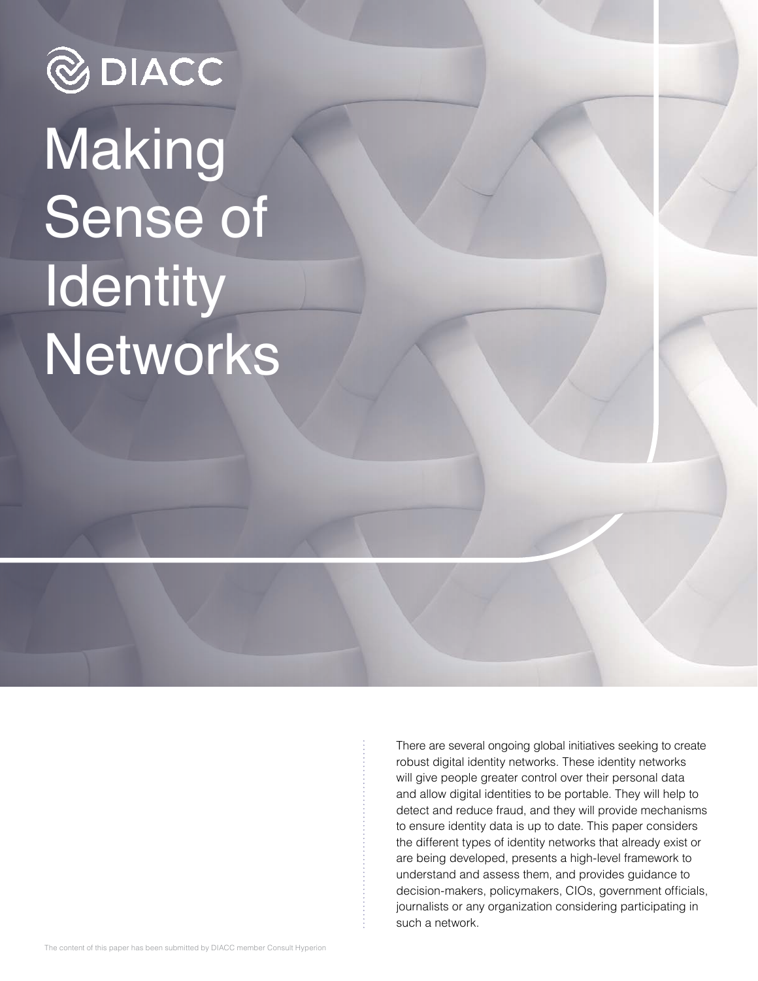# **@DIACC Making** Sense of **Identity** Networks

There are several ongoing global initiatives seeking to create robust digital identity networks. These identity networks will give people greater control over their personal data and allow digital identities to be portable. They will help to detect and reduce fraud, and they will provide mechanisms to ensure identity data is up to date. This paper considers the different types of identity networks that already exist or are being developed, presents a high-level framework to understand and assess them, and provides guidance to decision-makers, policymakers, CIOs, government officials, journalists or any organization considering participating in such a network.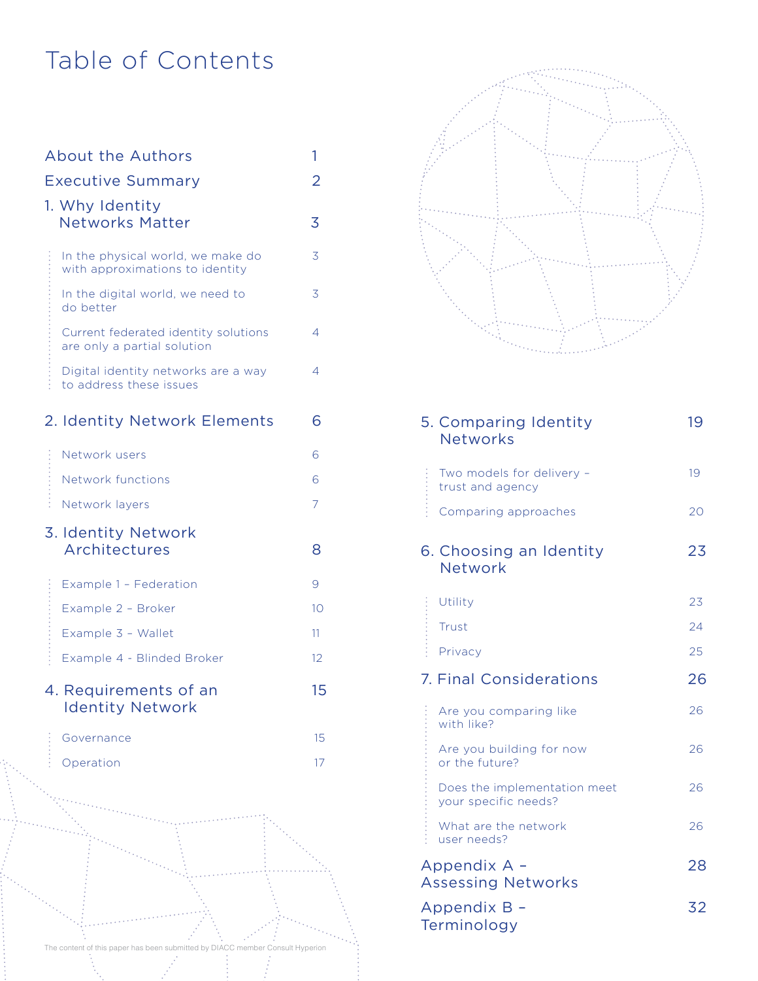# Table of Contents

| <b>About the Authors</b><br><b>Executive Summary</b>                          | 1<br>2 |
|-------------------------------------------------------------------------------|--------|
| 1. Why Identity<br><b>Networks Matter</b>                                     | 3      |
| In the physical world, we make do<br>with approximations to identity          | 3      |
| In the digital world, we need to<br>do better                                 | 3      |
| Current federated identity solutions<br>are only a partial solution           | 4      |
| Digital identity networks are a way<br>to address these issues                | 4      |
| 2. Identity Network Elements                                                  | 6      |
| Network users                                                                 | 6      |
| Network functions                                                             | 6      |
| ŝ<br>Network layers                                                           | 7      |
| 3. Identity Network<br>Architectures                                          | 8      |
| Example 1 - Federation                                                        | 9      |
| Example 2 - Broker                                                            | 10     |
| Example 3 - Wallet                                                            | 11     |
| Example 4 - Blinded Broker                                                    | 12     |
| 4. Requirements of an<br><b>Identity Network</b>                              | 15     |
| Governance                                                                    | 15     |
| Operation                                                                     | 17     |
|                                                                               |        |
| The content of this paper has been submitted by DIACC member Consult Hyperion |        |



|   | 5. Comparing Identity<br><b>Networks</b>             | 19 |
|---|------------------------------------------------------|----|
|   | Two models for delivery -<br>trust and agency        | 19 |
|   | Comparing approaches                                 | 20 |
|   | 6. Choosing an Identity<br>Network                   | 23 |
|   | Utility                                              | 23 |
|   | Trust                                                | 24 |
| ŧ | Privacy                                              | 25 |
|   | <b>7. Final Considerations</b>                       | 26 |
|   | Are you comparing like<br>with like?                 | 26 |
|   | Are you building for now<br>or the future?           | 26 |
|   | Does the implementation meet<br>your specific needs? | 26 |
|   | What are the network<br>user needs?                  | 26 |
|   | Appendix A -<br><b>Assessing Networks</b>            | 28 |
|   | Appendix B -<br>Terminology                          | 32 |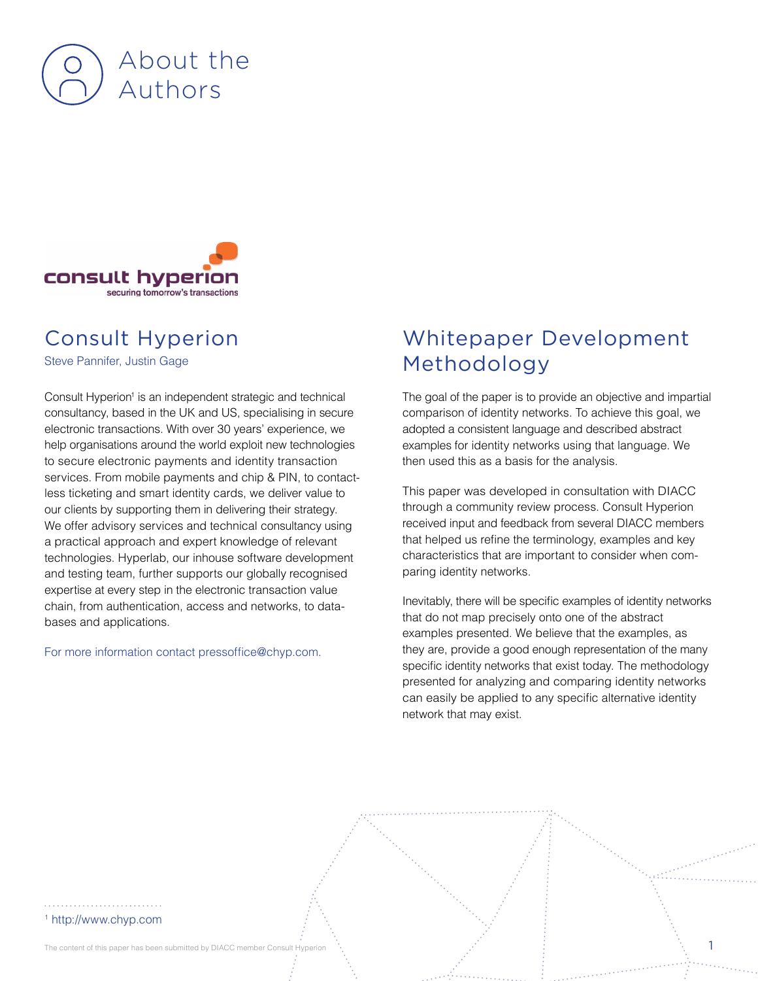



### Consult Hyperion

Steve Pannifer, Justin Gage

Consult Hyperion<sup>1</sup> is an independent strategic and technical consultancy, based in the UK and US, specialising in secure electronic transactions. With over 30 years' experience, we help organisations around the world exploit new technologies to secure electronic payments and identity transaction services. From mobile payments and chip & PIN, to contactless ticketing and smart identity cards, we deliver value to our clients by supporting them in delivering their strategy. We offer advisory services and technical consultancy using a practical approach and expert knowledge of relevant technologies. Hyperlab, our inhouse software development and testing team, further supports our globally recognised expertise at every step in the electronic transaction value chain, from authentication, access and networks, to databases and applications.

#### For more information contact pressoffice@chyp.com.

### Whitepaper Development Methodology

The goal of the paper is to provide an objective and impartial comparison of identity networks. To achieve this goal, we adopted a consistent language and described abstract examples for identity networks using that language. We then used this as a basis for the analysis.

This paper was developed in consultation with DIACC through a community review process. Consult Hyperion received input and feedback from several DIACC members that helped us refine the terminology, examples and key characteristics that are important to consider when comparing identity networks.

Inevitably, there will be specific examples of identity networks that do not map precisely onto one of the abstract examples presented. We believe that the examples, as they are, provide a good enough representation of the many specific identity networks that exist today. The methodology presented for analyzing and comparing identity networks can easily be applied to any specific alternative identity network that may exist.

#### 1 http://www.chyp.com

The content of this paper has been submitted by DIACC member Consult Hyperion  $\ddots$  and the consult Hyperion  $\ddots$  1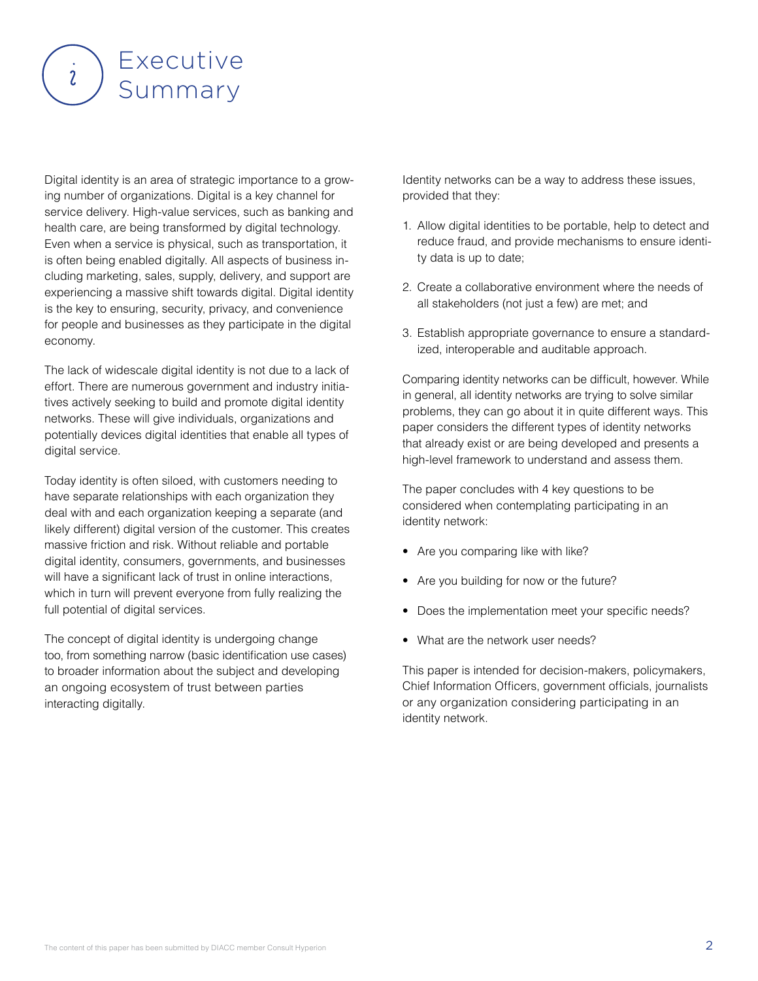

Digital identity is an area of strategic importance to a growing number of organizations. Digital is a key channel for service delivery. High-value services, such as banking and health care, are being transformed by digital technology. Even when a service is physical, such as transportation, it is often being enabled digitally. All aspects of business including marketing, sales, supply, delivery, and support are experiencing a massive shift towards digital. Digital identity is the key to ensuring, security, privacy, and convenience for people and businesses as they participate in the digital economy.

The lack of widescale digital identity is not due to a lack of effort. There are numerous government and industry initiatives actively seeking to build and promote digital identity networks. These will give individuals, organizations and potentially devices digital identities that enable all types of digital service.

Today identity is often siloed, with customers needing to have separate relationships with each organization they deal with and each organization keeping a separate (and likely different) digital version of the customer. This creates massive friction and risk. Without reliable and portable digital identity, consumers, governments, and businesses will have a significant lack of trust in online interactions, which in turn will prevent everyone from fully realizing the full potential of digital services.

The concept of digital identity is undergoing change too, from something narrow (basic identification use cases) to broader information about the subject and developing an ongoing ecosystem of trust between parties interacting digitally.

Identity networks can be a way to address these issues, provided that they:

- 1. Allow digital identities to be portable, help to detect and reduce fraud, and provide mechanisms to ensure identity data is up to date;
- 2. Create a collaborative environment where the needs of all stakeholders (not just a few) are met; and
- 3. Establish appropriate governance to ensure a standardized, interoperable and auditable approach.

Comparing identity networks can be difficult, however. While in general, all identity networks are trying to solve similar problems, they can go about it in quite different ways. This paper considers the different types of identity networks that already exist or are being developed and presents a high-level framework to understand and assess them.

The paper concludes with 4 key questions to be considered when contemplating participating in an identity network:

- Are you comparing like with like?
- Are you building for now or the future?
- Does the implementation meet your specific needs?
- What are the network user needs?

This paper is intended for decision-makers, policymakers, Chief Information Officers, government officials, journalists or any organization considering participating in an identity network.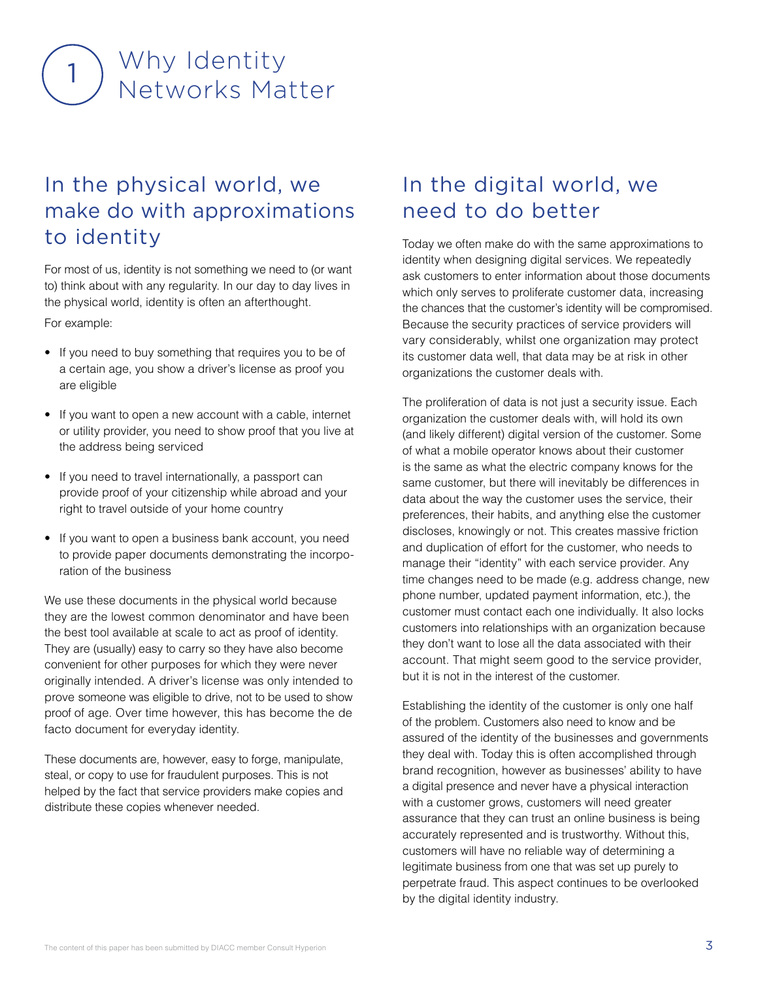# Why Identity Networks Matter

### In the physical world, we make do with approximations to identity

For most of us, identity is not something we need to (or want to) think about with any regularity. In our day to day lives in the physical world, identity is often an afterthought.

For example:

- If you need to buy something that requires you to be of a certain age, you show a driver's license as proof you are eligible
- If you want to open a new account with a cable, internet or utility provider, you need to show proof that you live at the address being serviced
- If you need to travel internationally, a passport can provide proof of your citizenship while abroad and your right to travel outside of your home country
- If you want to open a business bank account, you need to provide paper documents demonstrating the incorporation of the business

We use these documents in the physical world because they are the lowest common denominator and have been the best tool available at scale to act as proof of identity. They are (usually) easy to carry so they have also become convenient for other purposes for which they were never originally intended. A driver's license was only intended to prove someone was eligible to drive, not to be used to show proof of age. Over time however, this has become the de facto document for everyday identity.

These documents are, however, easy to forge, manipulate, steal, or copy to use for fraudulent purposes. This is not helped by the fact that service providers make copies and distribute these copies whenever needed.

### In the digital world, we need to do better

Today we often make do with the same approximations to identity when designing digital services. We repeatedly ask customers to enter information about those documents which only serves to proliferate customer data, increasing the chances that the customer's identity will be compromised. Because the security practices of service providers will vary considerably, whilst one organization may protect its customer data well, that data may be at risk in other organizations the customer deals with.

The proliferation of data is not just a security issue. Each organization the customer deals with, will hold its own (and likely different) digital version of the customer. Some of what a mobile operator knows about their customer is the same as what the electric company knows for the same customer, but there will inevitably be differences in data about the way the customer uses the service, their preferences, their habits, and anything else the customer discloses, knowingly or not. This creates massive friction and duplication of effort for the customer, who needs to manage their "identity" with each service provider. Any time changes need to be made (e.g. address change, new phone number, updated payment information, etc.), the customer must contact each one individually. It also locks customers into relationships with an organization because they don't want to lose all the data associated with their account. That might seem good to the service provider, but it is not in the interest of the customer.

Establishing the identity of the customer is only one half of the problem. Customers also need to know and be assured of the identity of the businesses and governments they deal with. Today this is often accomplished through brand recognition, however as businesses' ability to have a digital presence and never have a physical interaction with a customer grows, customers will need greater assurance that they can trust an online business is being accurately represented and is trustworthy. Without this, customers will have no reliable way of determining a legitimate business from one that was set up purely to perpetrate fraud. This aspect continues to be overlooked by the digital identity industry.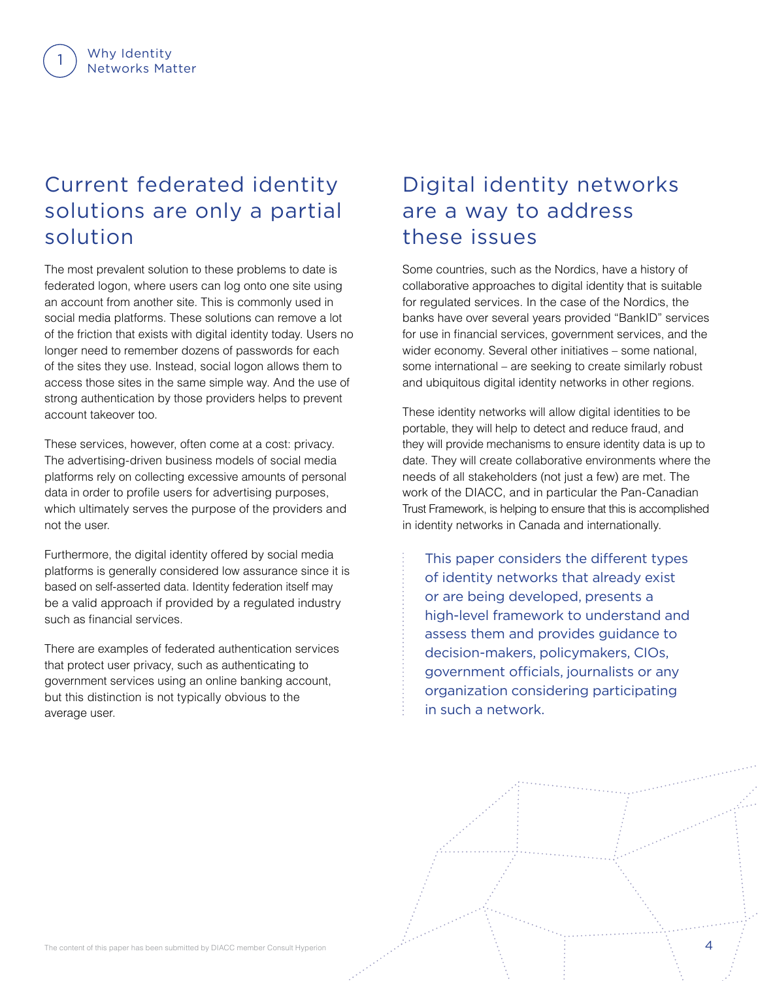### Current federated identity solutions are only a partial solution

The most prevalent solution to these problems to date is federated logon, where users can log onto one site using an account from another site. This is commonly used in social media platforms. These solutions can remove a lot of the friction that exists with digital identity today. Users no longer need to remember dozens of passwords for each of the sites they use. Instead, social logon allows them to access those sites in the same simple way. And the use of strong authentication by those providers helps to prevent account takeover too.

These services, however, often come at a cost: privacy. The advertising-driven business models of social media platforms rely on collecting excessive amounts of personal data in order to profile users for advertising purposes, which ultimately serves the purpose of the providers and not the user.

Furthermore, the digital identity offered by social media platforms is generally considered low assurance since it is based on self-asserted data. Identity federation itself may be a valid approach if provided by a regulated industry such as financial services.

There are examples of federated authentication services that protect user privacy, such as authenticating to government services using an online banking account, but this distinction is not typically obvious to the average user.

### Digital identity networks are a way to address these issues

Some countries, such as the Nordics, have a history of collaborative approaches to digital identity that is suitable for regulated services. In the case of the Nordics, the banks have over several years provided "BankID" services for use in financial services, government services, and the wider economy. Several other initiatives – some national, some international – are seeking to create similarly robust and ubiquitous digital identity networks in other regions.

These identity networks will allow digital identities to be portable, they will help to detect and reduce fraud, and they will provide mechanisms to ensure identity data is up to date. They will create collaborative environments where the needs of all stakeholders (not just a few) are met. The work of the DIACC, and in particular the Pan-Canadian Trust Framework, is helping to ensure that this is accomplished in identity networks in Canada and internationally.

This paper considers the different types of identity networks that already exist or are being developed, presents a high-level framework to understand and assess them and provides guidance to decision-makers, policymakers, CIOs, government officials, journalists or any organization considering participating in such a network.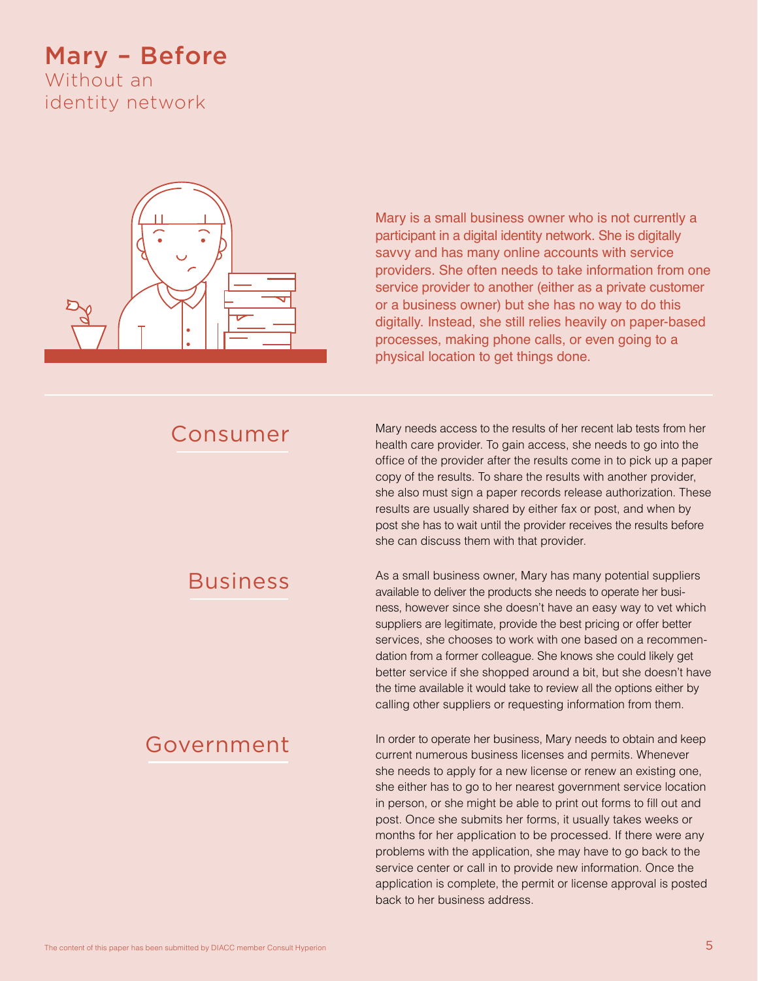### Mary – Before

Without an identity network



Mary is a small business owner who is not currently a participant in a digital identity network. She is digitally savvy and has many online accounts with service providers. She often needs to take information from one service provider to another (either as a private customer or a business owner) but she has no way to do this digitally. Instead, she still relies heavily on paper-based processes, making phone calls, or even going to a physical location to get things done.

### Consumer

Mary needs access to the results of her recent lab tests from her health care provider. To gain access, she needs to go into the office of the provider after the results come in to pick up a paper copy of the results. To share the results with another provider, she also must sign a paper records release authorization. These results are usually shared by either fax or post, and when by post she has to wait until the provider receives the results before she can discuss them with that provider.

### Business

### Government

As a small business owner, Mary has many potential suppliers available to deliver the products she needs to operate her business, however since she doesn't have an easy way to vet which suppliers are legitimate, provide the best pricing or offer better services, she chooses to work with one based on a recommendation from a former colleague. She knows she could likely get better service if she shopped around a bit, but she doesn't have the time available it would take to review all the options either by calling other suppliers or requesting information from them.

In order to operate her business, Mary needs to obtain and keep current numerous business licenses and permits. Whenever she needs to apply for a new license or renew an existing one, she either has to go to her nearest government service location in person, or she might be able to print out forms to fill out and post. Once she submits her forms, it usually takes weeks or months for her application to be processed. If there were any problems with the application, she may have to go back to the service center or call in to provide new information. Once the application is complete, the permit or license approval is posted back to her business address.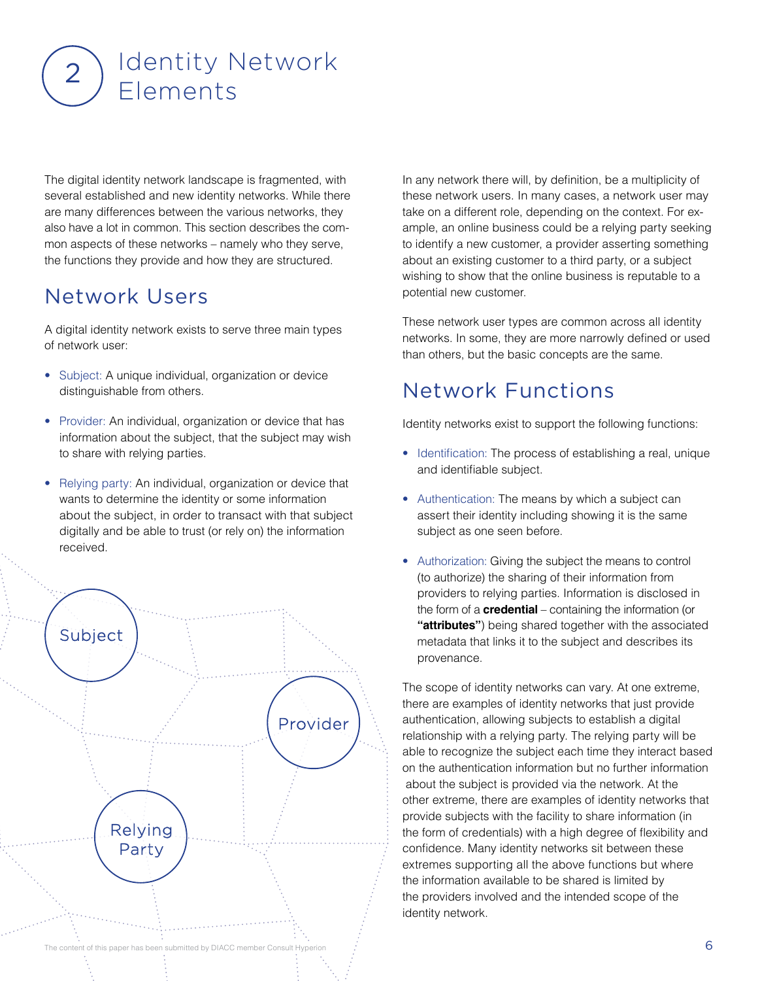# Identity Network  $2$ ) luentity r

The digital identity network landscape is fragmented, with several established and new identity networks. While there are many differences between the various networks, they also have a lot in common. This section describes the common aspects of these networks – namely who they serve, the functions they provide and how they are structured.

### Network Users

A digital identity network exists to serve three main types of network user:

- Subject: A unique individual, organization or device distinguishable from others.
- Provider: An individual, organization or device that has information about the subject, that the subject may wish to share with relying parties.
- Relying party: An individual, organization or device that wants to determine the identity or some information about the subject, in order to transact with that subject digitally and be able to trust (or rely on) the information received.



In any network there will, by definition, be a multiplicity of these network users. In many cases, a network user may take on a different role, depending on the context. For example, an online business could be a relying party seeking to identify a new customer, a provider asserting something about an existing customer to a third party, or a subject wishing to show that the online business is reputable to a potential new customer.

These network user types are common across all identity networks. In some, they are more narrowly defined or used than others, but the basic concepts are the same.

### Network Functions

Identity networks exist to support the following functions:

- Identification: The process of establishing a real, unique and identifiable subject.
- Authentication: The means by which a subject can assert their identity including showing it is the same subject as one seen before.
- Authorization: Giving the subject the means to control (to authorize) the sharing of their information from providers to relying parties. Information is disclosed in the form of a **credential** – containing the information (or **"attributes"**) being shared together with the associated metadata that links it to the subject and describes its provenance.

The scope of identity networks can vary. At one extreme, there are examples of identity networks that just provide authentication, allowing subjects to establish a digital relationship with a relying party. The relying party will be able to recognize the subject each time they interact based on the authentication information but no further information about the subject is provided via the network. At the other extreme, there are examples of identity networks that provide subjects with the facility to share information (in the form of credentials) with a high degree of flexibility and confidence. Many identity networks sit between these extremes supporting all the above functions but where the information available to be shared is limited by the providers involved and the intended scope of the identity network.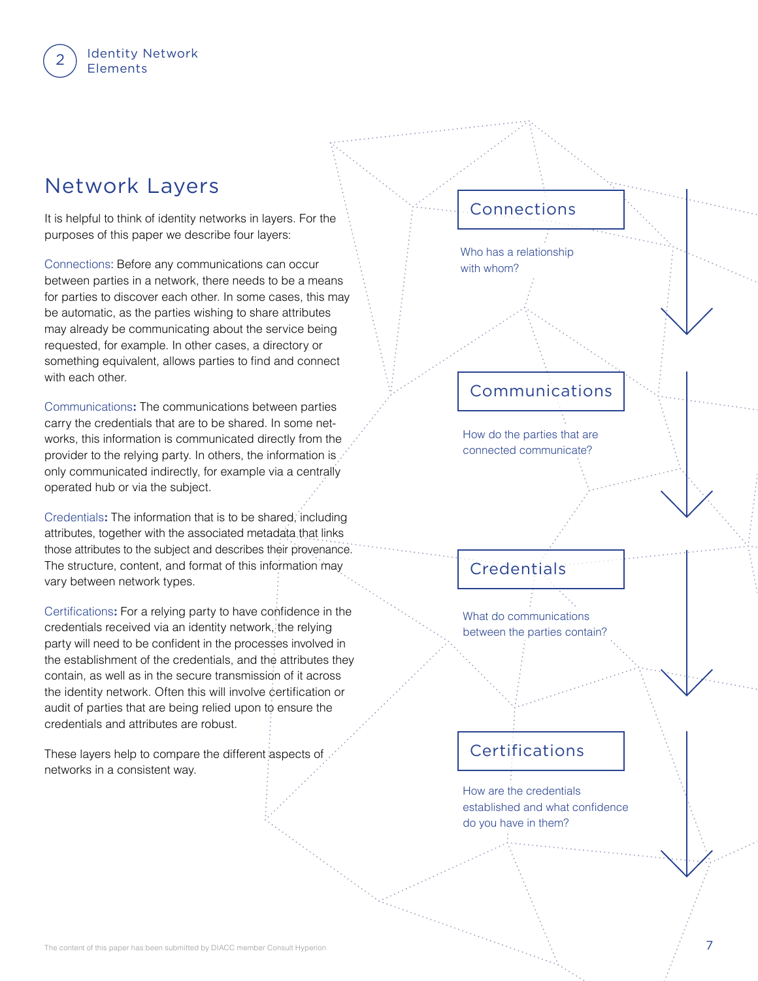Identity Network

### Network Layers

It is helpful to think of identity networks in layers. For the purposes of this paper we describe four layers:

Connections: Before any communications can occur between parties in a network, there needs to be a means for parties to discover each other. In some cases, this may be automatic, as the parties wishing to share attributes may already be communicating about the service being requested, for example. In other cases, a directory or something equivalent, allows parties to find and connect with each other.

Communications**:** The communications between parties carry the credentials that are to be shared. In some networks, this information is communicated directly from the provider to the relying party. In others, the information is only communicated indirectly, for example via a centrally operated hub or via the subject.

Credentials**:** The information that is to be shared, including attributes, together with the associated metadata that links those attributes to the subject and describes their provenance. The structure, content, and format of this information may vary between network types.

Certifications**:** For a relying party to have confidence in the credentials received via an identity network, the relying party will need to be confident in the processes involved in the establishment of the credentials, and the attributes they contain, as well as in the secure transmission of it across the identity network. Often this will involve certification or audit of parties that are being relied upon to ensure the credentials and attributes are robust.

These layers help to compare the different aspects of networks in a consistent way.

### Connections

Who has a relationship with whom?

### Communications

How do the parties that are connected communicate?

### **Credentials**

What do communications between the parties contain?

### Certifications

How are the credentials established and what confidence do you have in them?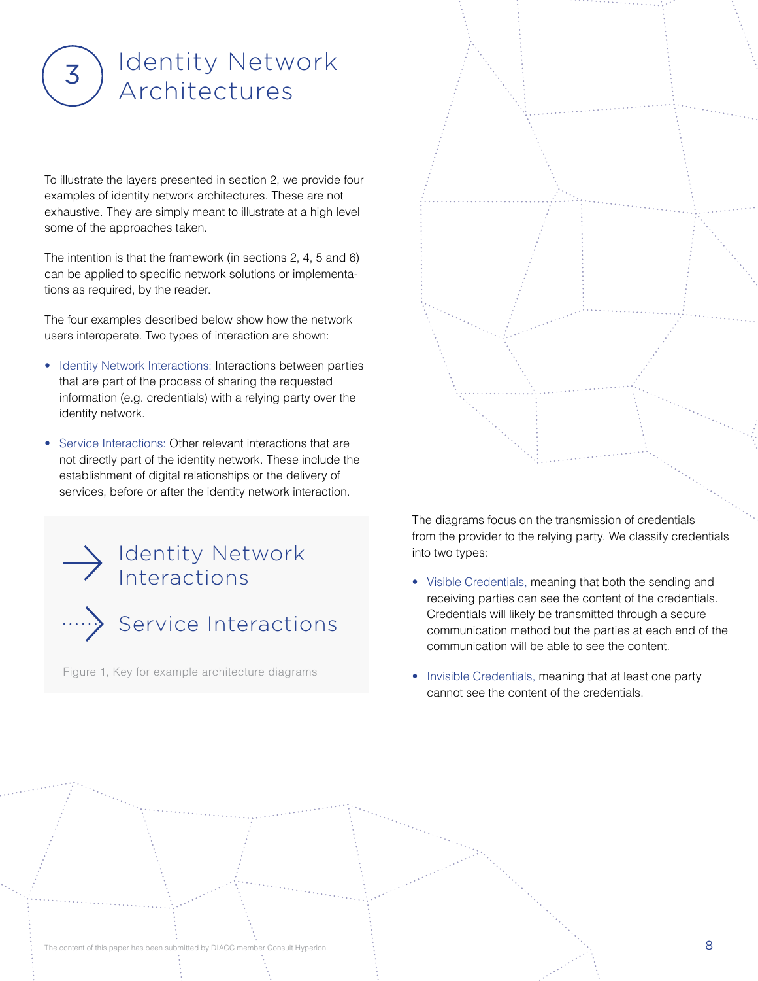# Identity Network 3) Rentity Netwondow

To illustrate the layers presented in section 2, we provide four examples of identity network architectures. These are not exhaustive. They are simply meant to illustrate at a high level some of the approaches taken.

The intention is that the framework (in sections 2, 4, 5 and 6) can be applied to specific network solutions or implementations as required, by the reader.

The four examples described below show how the network users interoperate. Two types of interaction are shown:

- Identity Network Interactions: Interactions between parties that are part of the process of sharing the requested information (e.g. credentials) with a relying party over the identity network.
- Service Interactions: Other relevant interactions that are not directly part of the identity network. These include the establishment of digital relationships or the delivery of services, before or after the identity network interaction.

.....>> Service Interactions Identity Network Interactions

Figure 1, Key for example architecture diagrams



The diagrams focus on the transmission of credentials from the provider to the relying party. We classify credentials into two types:

- Visible Credentials, meaning that both the sending and receiving parties can see the content of the credentials. Credentials will likely be transmitted through a secure communication method but the parties at each end of the communication will be able to see the content.
- Invisible Credentials, meaning that at least one party cannot see the content of the credentials.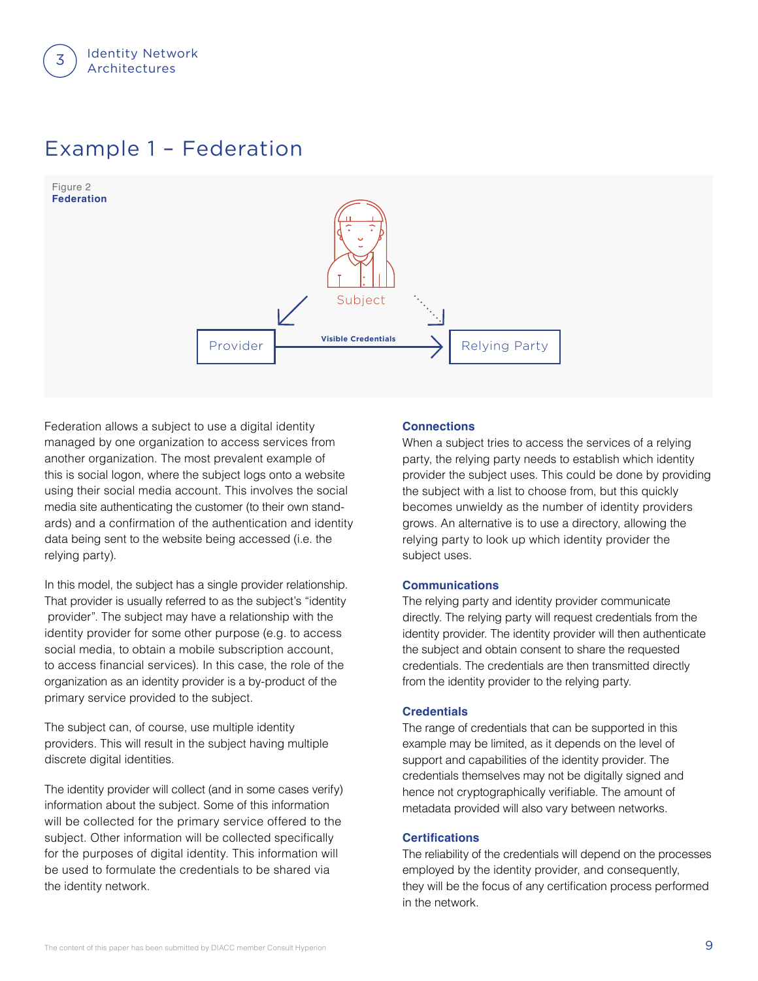

### Example 1 – Federation



Federation allows a subject to use a digital identity managed by one organization to access services from another organization. The most prevalent example of this is social logon, where the subject logs onto a website using their social media account. This involves the social media site authenticating the customer (to their own standards) and a confirmation of the authentication and identity data being sent to the website being accessed (i.e. the relying party).

In this model, the subject has a single provider relationship. That provider is usually referred to as the subject's "identity provider". The subject may have a relationship with the identity provider for some other purpose (e.g. to access social media, to obtain a mobile subscription account, to access financial services). In this case, the role of the organization as an identity provider is a by-product of the primary service provided to the subject.

The subject can, of course, use multiple identity providers. This will result in the subject having multiple discrete digital identities.

The identity provider will collect (and in some cases verify) information about the subject. Some of this information will be collected for the primary service offered to the subject. Other information will be collected specifically for the purposes of digital identity. This information will be used to formulate the credentials to be shared via the identity network.

#### **Connections**

When a subject tries to access the services of a relying party, the relying party needs to establish which identity provider the subject uses. This could be done by providing the subject with a list to choose from, but this quickly becomes unwieldy as the number of identity providers grows. An alternative is to use a directory, allowing the relying party to look up which identity provider the subject uses.

#### **Communications**

The relying party and identity provider communicate directly. The relying party will request credentials from the identity provider. The identity provider will then authenticate the subject and obtain consent to share the requested credentials. The credentials are then transmitted directly from the identity provider to the relying party.

#### **Credentials**

The range of credentials that can be supported in this example may be limited, as it depends on the level of support and capabilities of the identity provider. The credentials themselves may not be digitally signed and hence not cryptographically verifiable. The amount of metadata provided will also vary between networks.

#### **Certifications**

The reliability of the credentials will depend on the processes employed by the identity provider, and consequently, they will be the focus of any certification process performed in the network.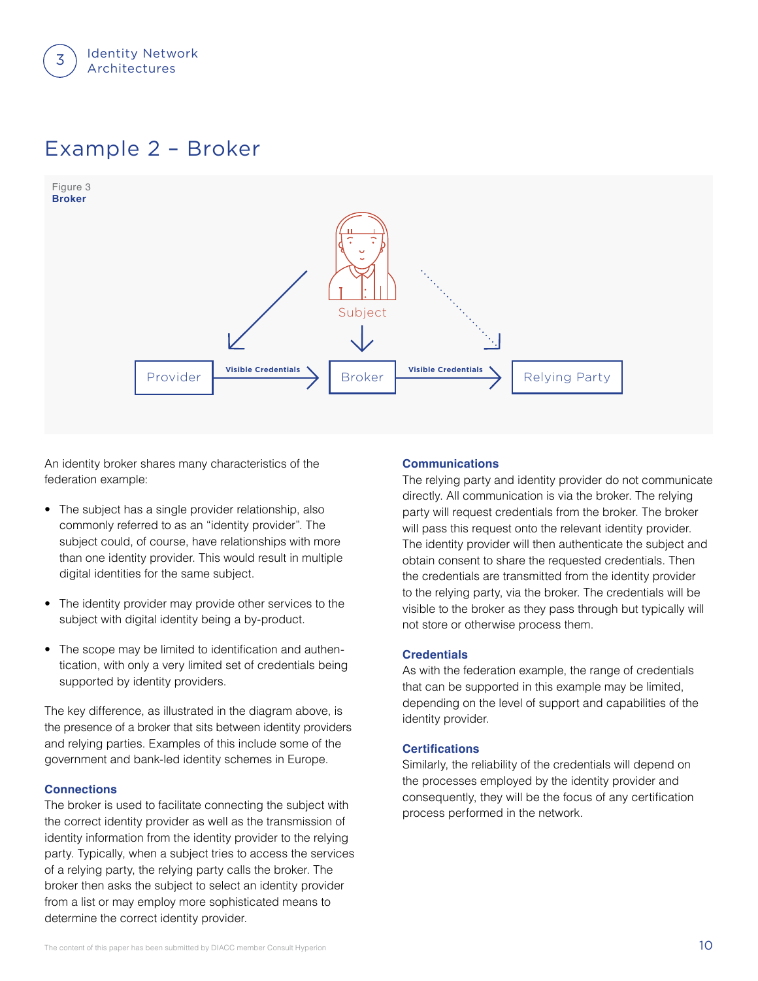

### Example 2 – Broker



An identity broker shares many characteristics of the federation example:

- The subject has a single provider relationship, also commonly referred to as an "identity provider". The subject could, of course, have relationships with more than one identity provider. This would result in multiple digital identities for the same subject.
- The identity provider may provide other services to the subject with digital identity being a by-product.
- The scope may be limited to identification and authentication, with only a very limited set of credentials being supported by identity providers.

The key difference, as illustrated in the diagram above, is the presence of a broker that sits between identity providers and relying parties. Examples of this include some of the government and bank-led identity schemes in Europe.

#### **Connections**

The broker is used to facilitate connecting the subject with the correct identity provider as well as the transmission of identity information from the identity provider to the relying party. Typically, when a subject tries to access the services of a relying party, the relying party calls the broker. The broker then asks the subject to select an identity provider from a list or may employ more sophisticated means to determine the correct identity provider.

#### **Communications**

The relying party and identity provider do not communicate directly. All communication is via the broker. The relying party will request credentials from the broker. The broker will pass this request onto the relevant identity provider. The identity provider will then authenticate the subject and obtain consent to share the requested credentials. Then the credentials are transmitted from the identity provider to the relying party, via the broker. The credentials will be visible to the broker as they pass through but typically will not store or otherwise process them.

#### **Credentials**

As with the federation example, the range of credentials that can be supported in this example may be limited, depending on the level of support and capabilities of the identity provider.

#### **Certifications**

Similarly, the reliability of the credentials will depend on the processes employed by the identity provider and consequently, they will be the focus of any certification process performed in the network.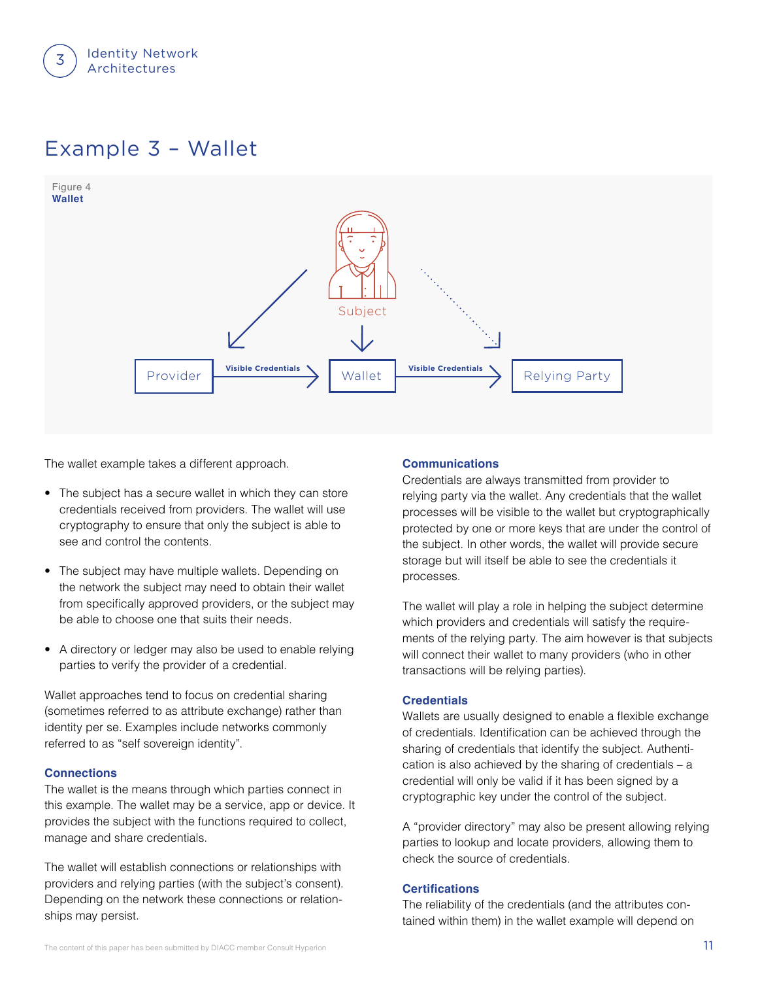

### Example 3 – Wallet



The wallet example takes a different approach.

- The subject has a secure wallet in which they can store credentials received from providers. The wallet will use cryptography to ensure that only the subject is able to see and control the contents.
- The subject may have multiple wallets. Depending on the network the subject may need to obtain their wallet from specifically approved providers, or the subject may be able to choose one that suits their needs.
- A directory or ledger may also be used to enable relying parties to verify the provider of a credential.

Wallet approaches tend to focus on credential sharing (sometimes referred to as attribute exchange) rather than identity per se. Examples include networks commonly referred to as "self sovereign identity".

#### **Connections**

The wallet is the means through which parties connect in this example. The wallet may be a service, app or device. It provides the subject with the functions required to collect, manage and share credentials.

The wallet will establish connections or relationships with providers and relying parties (with the subject's consent). Depending on the network these connections or relationships may persist.

#### **Communications**

Credentials are always transmitted from provider to relying party via the wallet. Any credentials that the wallet processes will be visible to the wallet but cryptographically protected by one or more keys that are under the control of the subject. In other words, the wallet will provide secure storage but will itself be able to see the credentials it processes.

The wallet will play a role in helping the subject determine which providers and credentials will satisfy the requirements of the relying party. The aim however is that subjects will connect their wallet to many providers (who in other transactions will be relying parties).

#### **Credentials**

Wallets are usually designed to enable a flexible exchange of credentials. Identification can be achieved through the sharing of credentials that identify the subject. Authentication is also achieved by the sharing of credentials – a credential will only be valid if it has been signed by a cryptographic key under the control of the subject.

A "provider directory" may also be present allowing relying parties to lookup and locate providers, allowing them to check the source of credentials.

#### **Certifications**

The reliability of the credentials (and the attributes contained within them) in the wallet example will depend on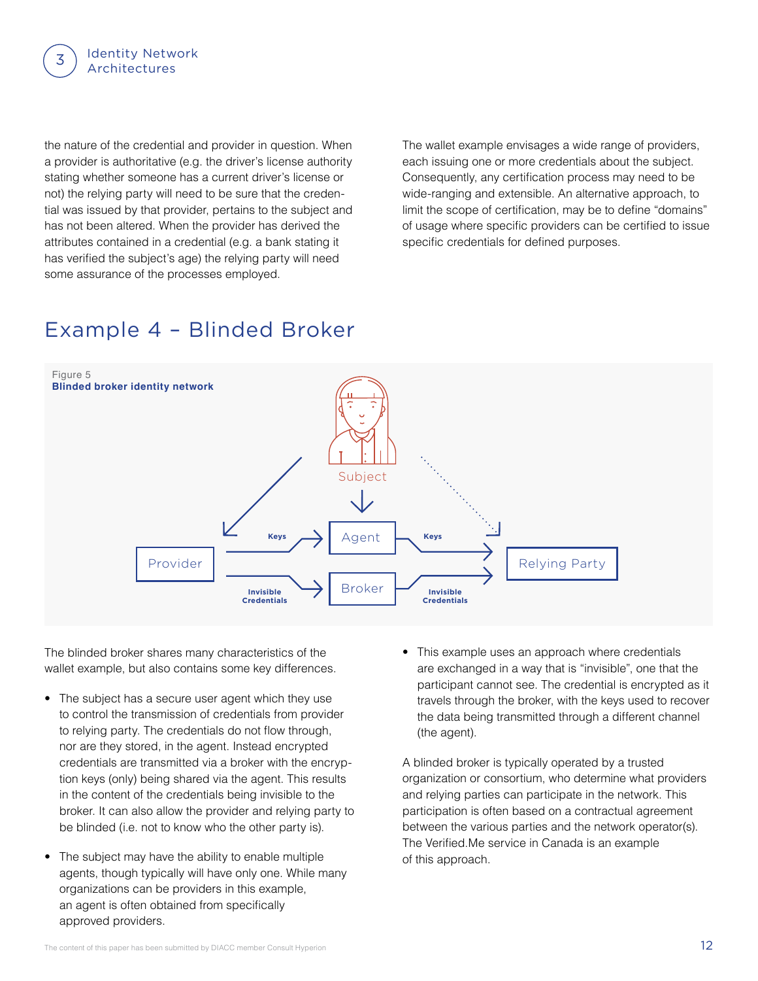

the nature of the credential and provider in question. When a provider is authoritative (e.g. the driver's license authority stating whether someone has a current driver's license or not) the relying party will need to be sure that the credential was issued by that provider, pertains to the subject and has not been altered. When the provider has derived the attributes contained in a credential (e.g. a bank stating it has verified the subject's age) the relying party will need some assurance of the processes employed.

The wallet example envisages a wide range of providers, each issuing one or more credentials about the subject. Consequently, any certification process may need to be wide-ranging and extensible. An alternative approach, to limit the scope of certification, may be to define "domains" of usage where specific providers can be certified to issue specific credentials for defined purposes.

### Example 4 – Blinded Broker



The blinded broker shares many characteristics of the wallet example, but also contains some key differences.

- The subject has a secure user agent which they use to control the transmission of credentials from provider to relying party. The credentials do not flow through, nor are they stored, in the agent. Instead encrypted credentials are transmitted via a broker with the encryption keys (only) being shared via the agent. This results in the content of the credentials being invisible to the broker. It can also allow the provider and relying party to be blinded (i.e. not to know who the other party is).
- The subject may have the ability to enable multiple agents, though typically will have only one. While many organizations can be providers in this example, an agent is often obtained from specifically approved providers.

• This example uses an approach where credentials are exchanged in a way that is "invisible", one that the participant cannot see. The credential is encrypted as it travels through the broker, with the keys used to recover the data being transmitted through a different channel (the agent).

A blinded broker is typically operated by a trusted organization or consortium, who determine what providers and relying parties can participate in the network. This participation is often based on a contractual agreement between the various parties and the network operator(s). The Verified.Me service in Canada is an example of this approach.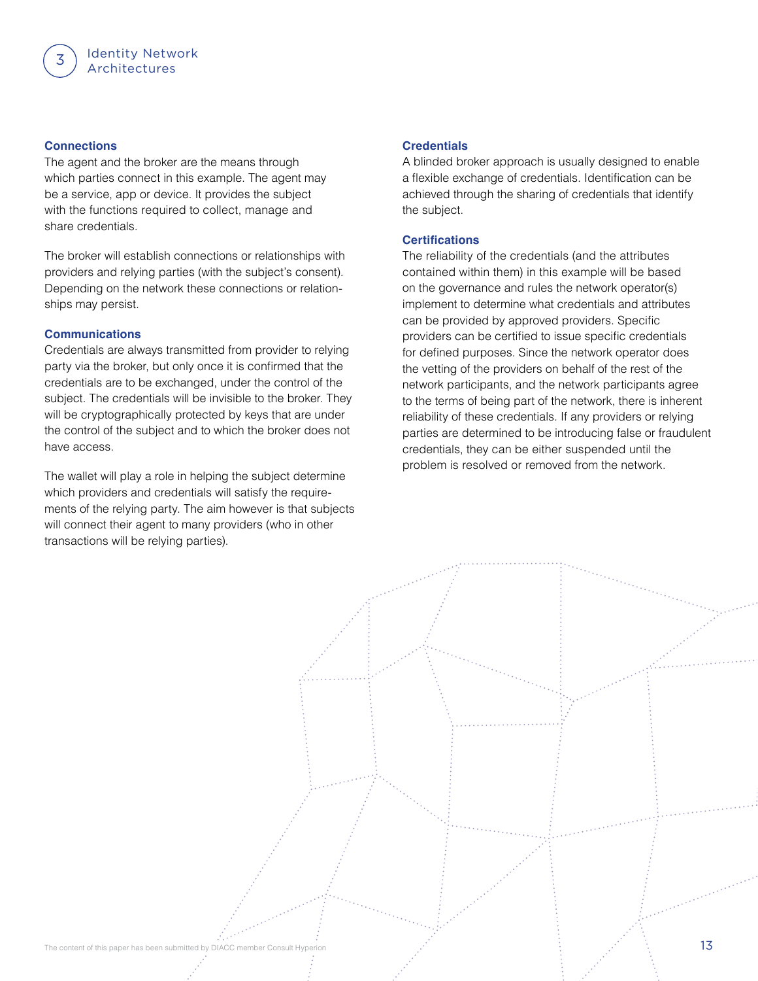#### **Connections**

The agent and the broker are the means through which parties connect in this example. The agent may be a service, app or device. It provides the subject with the functions required to collect, manage and share credentials.

The broker will establish connections or relationships with providers and relying parties (with the subject's consent). Depending on the network these connections or relationships may persist.

#### **Communications**

Credentials are always transmitted from provider to relying party via the broker, but only once it is confirmed that the credentials are to be exchanged, under the control of the subject. The credentials will be invisible to the broker. They will be cryptographically protected by keys that are under the control of the subject and to which the broker does not have access.

The wallet will play a role in helping the subject determine which providers and credentials will satisfy the requirements of the relying party. The aim however is that subjects will connect their agent to many providers (who in other transactions will be relying parties).

#### **Credentials**

A blinded broker approach is usually designed to enable a flexible exchange of credentials. Identification can be achieved through the sharing of credentials that identify the subject.

#### **Certifications**

The reliability of the credentials (and the attributes contained within them) in this example will be based on the governance and rules the network operator(s) implement to determine what credentials and attributes can be provided by approved providers. Specific providers can be certified to issue specific credentials for defined purposes. Since the network operator does the vetting of the providers on behalf of the rest of the network participants, and the network participants agree to the terms of being part of the network, there is inherent reliability of these credentials. If any providers or relying parties are determined to be introducing false or fraudulent credentials, they can be either suspended until the problem is resolved or removed from the network.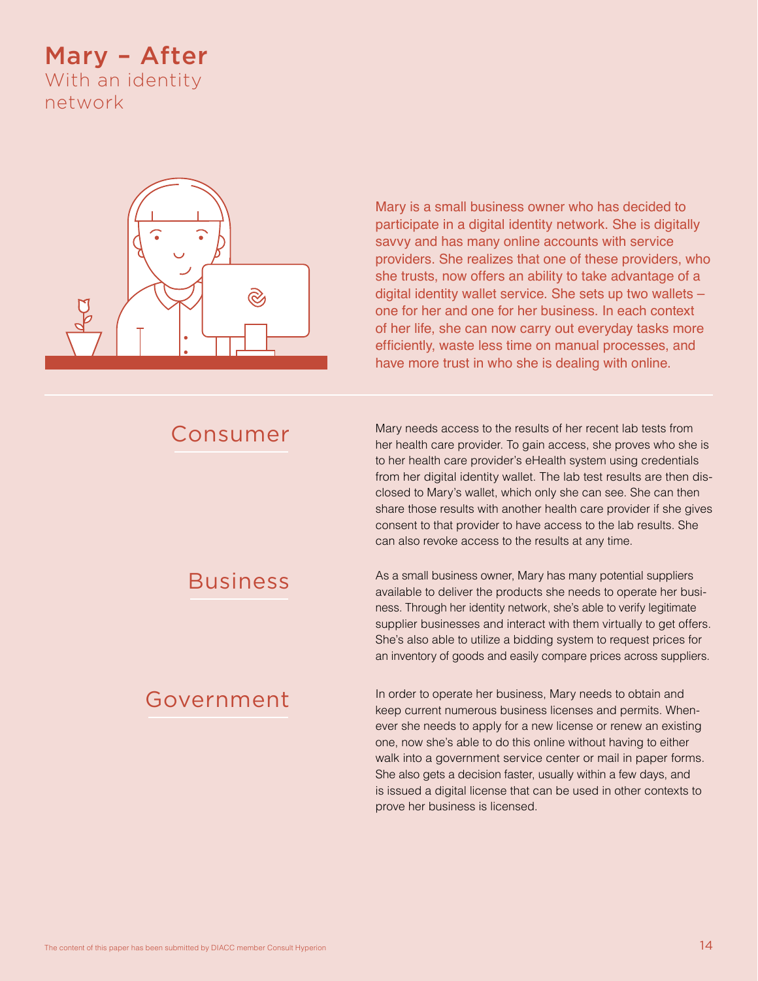### Mary – After With an identity network



Mary is a small business owner who has decided to participate in a digital identity network. She is digitally savvy and has many online accounts with service providers. She realizes that one of these providers, who she trusts, now offers an ability to take advantage of a digital identity wallet service. She sets up two wallets – one for her and one for her business. In each context of her life, she can now carry out everyday tasks more efficiently, waste less time on manual processes, and have more trust in who she is dealing with online.

### Consumer

Mary needs access to the results of her recent lab tests from her health care provider. To gain access, she proves who she is to her health care provider's eHealth system using credentials from her digital identity wallet. The lab test results are then disclosed to Mary's wallet, which only she can see. She can then share those results with another health care provider if she gives consent to that provider to have access to the lab results. She can also revoke access to the results at any time.

### Business

### Government

As a small business owner, Mary has many potential suppliers available to deliver the products she needs to operate her business. Through her identity network, she's able to verify legitimate supplier businesses and interact with them virtually to get offers. She's also able to utilize a bidding system to request prices for an inventory of goods and easily compare prices across suppliers.

In order to operate her business, Mary needs to obtain and keep current numerous business licenses and permits. Whenever she needs to apply for a new license or renew an existing one, now she's able to do this online without having to either walk into a government service center or mail in paper forms. She also gets a decision faster, usually within a few days, and is issued a digital license that can be used in other contexts to prove her business is licensed.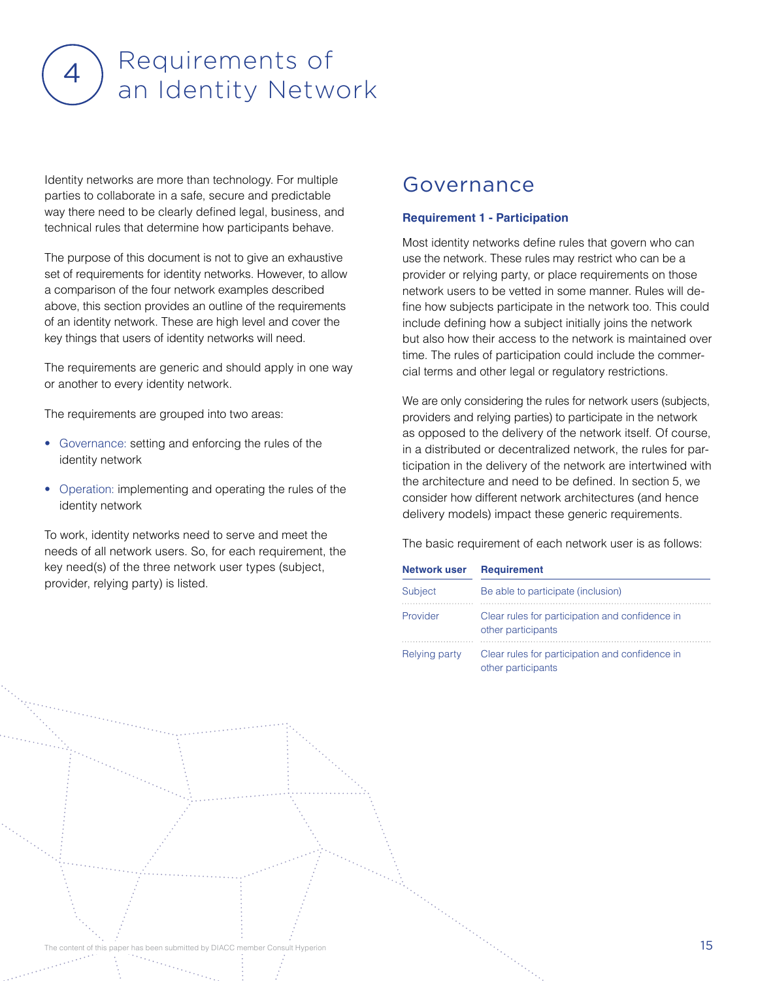# Requirements of 4) Requirements of<br>an Identity Network

Identity networks are more than technology. For multiple parties to collaborate in a safe, secure and predictable way there need to be clearly defined legal, business, and technical rules that determine how participants behave.

The purpose of this document is not to give an exhaustive set of requirements for identity networks. However, to allow a comparison of the four network examples described above, this section provides an outline of the requirements of an identity network. These are high level and cover the key things that users of identity networks will need.

The requirements are generic and should apply in one way or another to every identity network.

The requirements are grouped into two areas:

- Governance: setting and enforcing the rules of the identity network
- Operation: implementing and operating the rules of the identity network

To work, identity networks need to serve and meet the needs of all network users. So, for each requirement, the key need(s) of the three network user types (subject, provider, relying party) is listed.

### Governance

#### **Requirement 1 - Participation**

Most identity networks define rules that govern who can use the network. These rules may restrict who can be a provider or relying party, or place requirements on those network users to be vetted in some manner. Rules will define how subjects participate in the network too. This could include defining how a subject initially joins the network but also how their access to the network is maintained over time. The rules of participation could include the commercial terms and other legal or regulatory restrictions.

We are only considering the rules for network users (subjects, providers and relying parties) to participate in the network as opposed to the delivery of the network itself. Of course, in a distributed or decentralized network, the rules for participation in the delivery of the network are intertwined with the architecture and need to be defined. In section 5, we consider how different network architectures (and hence delivery models) impact these generic requirements.

| <b>Network user</b> | <b>Requirement</b>                                                    |
|---------------------|-----------------------------------------------------------------------|
| Subject             | Be able to participate (inclusion)                                    |
| Provider            | Clear rules for participation and confidence in<br>other participants |
| Relying party       | Clear rules for participation and confidence in<br>other participants |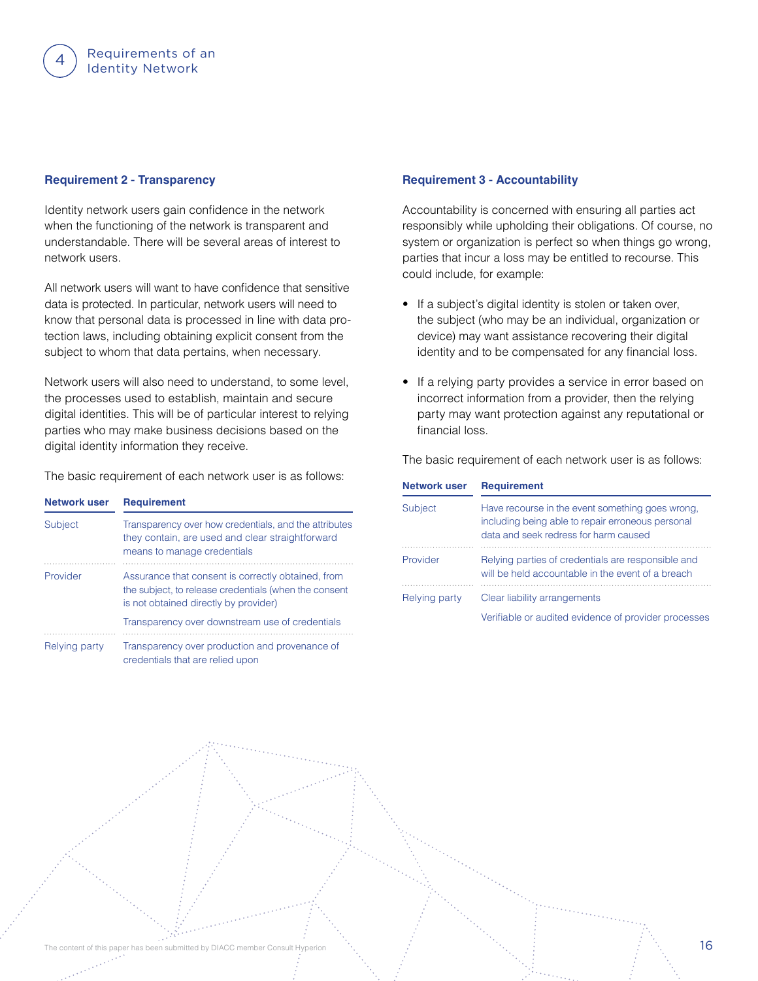#### **Requirement 2 - Transparency**

Identity network users gain confidence in the network when the functioning of the network is transparent and understandable. There will be several areas of interest to network users.

All network users will want to have confidence that sensitive data is protected. In particular, network users will need to know that personal data is processed in line with data protection laws, including obtaining explicit consent from the subject to whom that data pertains, when necessary.

Network users will also need to understand, to some level, the processes used to establish, maintain and secure digital identities. This will be of particular interest to relying parties who may make business decisions based on the digital identity information they receive.

The basic requirement of each network user is as follows:

| Network user   | <b>Requirement</b>                                                                                                                                   |
|----------------|------------------------------------------------------------------------------------------------------------------------------------------------------|
| <b>Subject</b> | Transparency over how credentials, and the attributes<br>they contain, are used and clear straightforward<br>means to manage credentials             |
| Provider       | Assurance that consent is correctly obtained, from<br>the subject, to release credentials (when the consent<br>is not obtained directly by provider) |
|                | Transparency over downstream use of credentials                                                                                                      |
| Relying party  | Transparency over production and provenance of<br>credentials that are relied upon                                                                   |

#### **Requirement 3 - Accountability**

Accountability is concerned with ensuring all parties act responsibly while upholding their obligations. Of course, no system or organization is perfect so when things go wrong, parties that incur a loss may be entitled to recourse. This could include, for example:

- If a subject's digital identity is stolen or taken over, the subject (who may be an individual, organization or device) may want assistance recovering their digital identity and to be compensated for any financial loss.
- If a relying party provides a service in error based on incorrect information from a provider, then the relying party may want protection against any reputational or financial loss.

| Network user   | <b>Requirement</b>                                                                                                                             |
|----------------|------------------------------------------------------------------------------------------------------------------------------------------------|
| <b>Subject</b> | Have recourse in the event something goes wrong.<br>including being able to repair erroneous personal<br>data and seek redress for harm caused |
| Provider       | Relying parties of credentials are responsible and<br>will be held accountable in the event of a breach                                        |
| Relying party  | Clear liability arrangements                                                                                                                   |
|                | Verifiable or audited evidence of provider processes                                                                                           |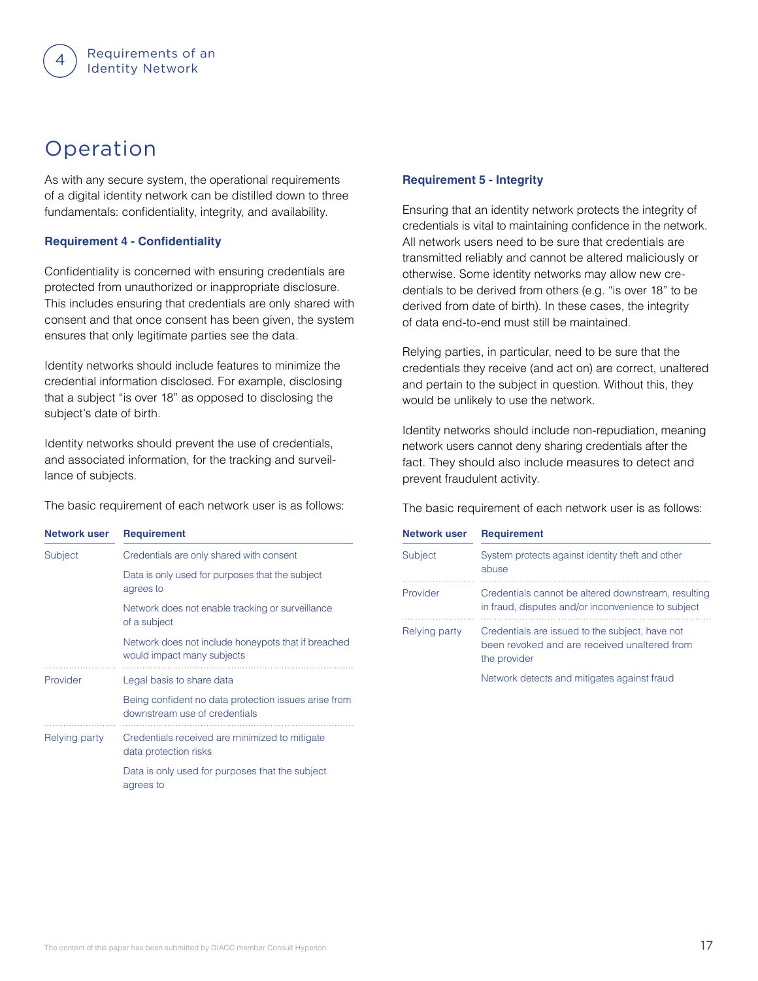### Operation

As with any secure system, the operational requirements of a digital identity network can be distilled down to three fundamentals: confidentiality, integrity, and availability.

#### **Requirement 4 - Confidentiality**

Confidentiality is concerned with ensuring credentials are protected from unauthorized or inappropriate disclosure. This includes ensuring that credentials are only shared with consent and that once consent has been given, the system ensures that only legitimate parties see the data.

Identity networks should include features to minimize the credential information disclosed. For example, disclosing that a subject "is over 18" as opposed to disclosing the subject's date of birth.

Identity networks should prevent the use of credentials, and associated information, for the tracking and surveillance of subjects.

The basic requirement of each network user is as follows:

| Network user  | <b>Requirement</b>                                                                    |
|---------------|---------------------------------------------------------------------------------------|
| Subject       | Credentials are only shared with consent                                              |
|               | Data is only used for purposes that the subject<br>agrees to                          |
|               | Network does not enable tracking or surveillance<br>of a subject                      |
|               | Network does not include honeypots that if breached<br>would impact many subjects     |
| Provider      | Legal basis to share data                                                             |
|               | Being confident no data protection issues arise from<br>downstream use of credentials |
| Relying party | Credentials received are minimized to mitigate<br>data protection risks               |
|               | Data is only used for purposes that the subject<br>agrees to                          |

#### **Requirement 5 - Integrity**

Ensuring that an identity network protects the integrity of credentials is vital to maintaining confidence in the network. All network users need to be sure that credentials are transmitted reliably and cannot be altered maliciously or otherwise. Some identity networks may allow new credentials to be derived from others (e.g. "is over 18" to be derived from date of birth). In these cases, the integrity of data end-to-end must still be maintained.

Relying parties, in particular, need to be sure that the credentials they receive (and act on) are correct, unaltered and pertain to the subject in question. Without this, they would be unlikely to use the network.

Identity networks should include non-repudiation, meaning network users cannot deny sharing credentials after the fact. They should also include measures to detect and prevent fraudulent activity.

| Network user   | <b>Requirement</b>                                                                                              |
|----------------|-----------------------------------------------------------------------------------------------------------------|
| <b>Subject</b> | System protects against identity theft and other<br>abuse                                                       |
| Provider       | Credentials cannot be altered downstream, resulting<br>in fraud, disputes and/or inconvenience to subject       |
| Relying party  | Credentials are issued to the subject, have not<br>been revoked and are received unaltered from<br>the provider |
|                | Network detects and mitigates against fraud                                                                     |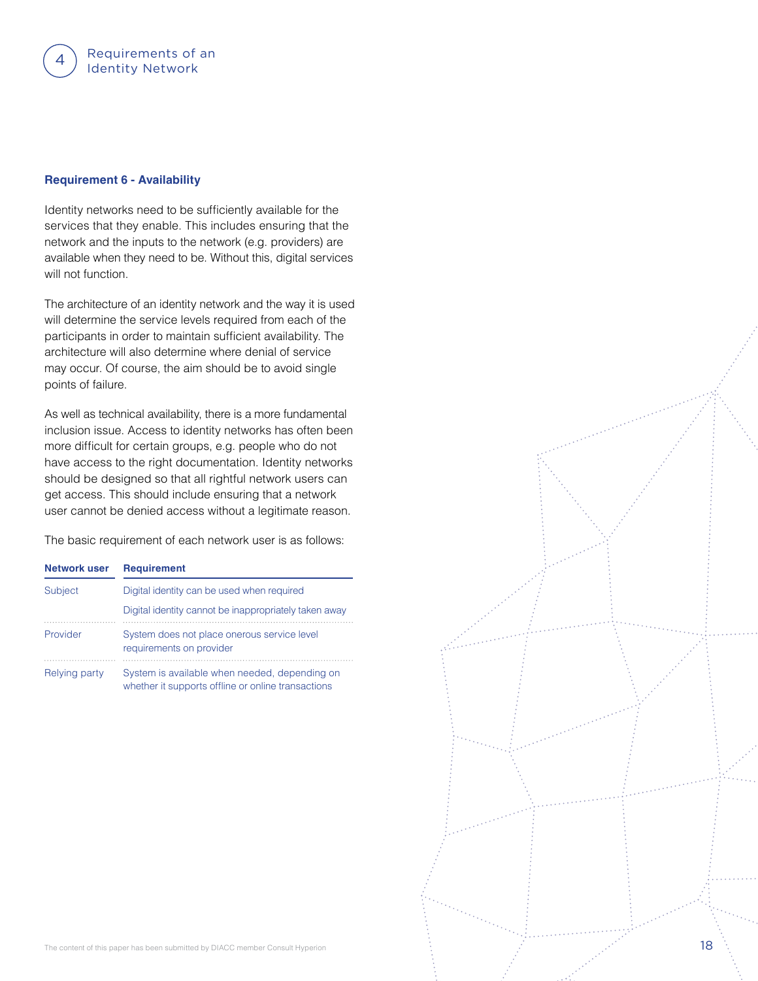#### **Requirement 6 - Availability**

Identity networks need to be sufficiently available for the services that they enable. This includes ensuring that the network and the inputs to the network (e.g. providers) are available when they need to be. Without this, digital services will not function.

The architecture of an identity network and the way it is used will determine the service levels required from each of the participants in order to maintain sufficient availability. The architecture will also determine where denial of service may occur. Of course, the aim should be to avoid single points of failure.

As well as technical availability, there is a more fundamental inclusion issue. Access to identity networks has often been more difficult for certain groups, e.g. people who do not have access to the right documentation. Identity networks should be designed so that all rightful network users can get access. This should include ensuring that a network user cannot be denied access without a legitimate reason.

| <b>Network user</b> | <b>Requirement</b>                                                                                  |
|---------------------|-----------------------------------------------------------------------------------------------------|
| Subject             | Digital identity can be used when required                                                          |
|                     | Digital identity cannot be inappropriately taken away                                               |
| Provider            | System does not place onerous service level<br>requirements on provider                             |
| Relying party       | System is available when needed, depending on<br>whether it supports offline or online transactions |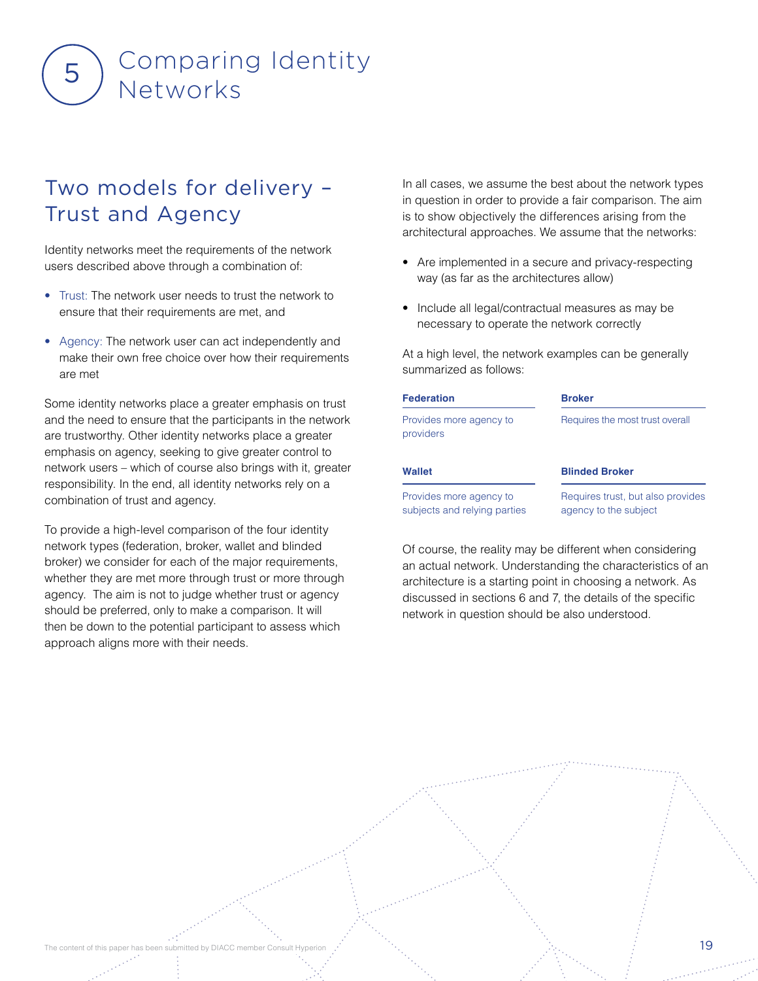# Comparing Identity  $5$ ) Networks

### Two models for delivery – Trust and Agency

Identity networks meet the requirements of the network users described above through a combination of:

- Trust: The network user needs to trust the network to ensure that their requirements are met, and
- Agency: The network user can act independently and make their own free choice over how their requirements are met

Some identity networks place a greater emphasis on trust and the need to ensure that the participants in the network are trustworthy. Other identity networks place a greater emphasis on agency, seeking to give greater control to network users – which of course also brings with it, greater responsibility. In the end, all identity networks rely on a combination of trust and agency.

To provide a high-level comparison of the four identity network types (federation, broker, wallet and blinded broker) we consider for each of the major requirements, whether they are met more through trust or more through agency. The aim is not to judge whether trust or agency should be preferred, only to make a comparison. It will then be down to the potential participant to assess which approach aligns more with their needs.

In all cases, we assume the best about the network types in question in order to provide a fair comparison. The aim is to show objectively the differences arising from the architectural approaches. We assume that the networks:

- Are implemented in a secure and privacy-respecting way (as far as the architectures allow)
- Include all legal/contractual measures as may be necessary to operate the network correctly

At a high level, the network examples can be generally summarized as follows:

| <b>Federation</b>                                       | <b>Broker</b>                                              |  |  |  |
|---------------------------------------------------------|------------------------------------------------------------|--|--|--|
| Provides more agency to<br>providers                    | Requires the most trust overall                            |  |  |  |
| Wallet                                                  | <b>Blinded Broker</b>                                      |  |  |  |
| Provides more agency to<br>subjects and relying parties | Requires trust, but also provides<br>agency to the subject |  |  |  |

Of course, the reality may be different when considering an actual network. Understanding the characteristics of an architecture is a starting point in choosing a network. As discussed in sections 6 and 7, the details of the specific network in question should be also understood.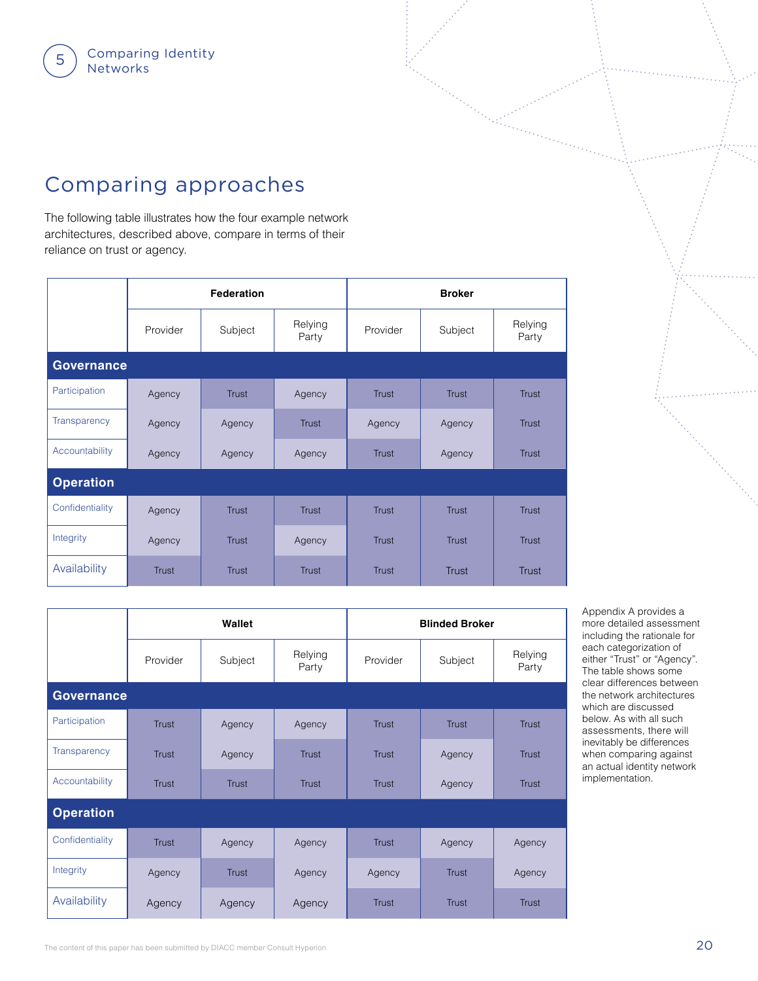### Comparing approaches

The following table illustrates how the four example network architectures, described above, compare in terms of their reliance on trust or agency.

|                   |              | <b>Federation</b> |                  |              | <b>Broker</b> |                  |
|-------------------|--------------|-------------------|------------------|--------------|---------------|------------------|
|                   | Provider     | Subject           | Relying<br>Party | Provider     | Subject       | Relying<br>Party |
| <b>Governance</b> |              |                   |                  |              |               |                  |
| Participation     | Agency       | <b>Trust</b>      | Agency           | <b>Trust</b> | <b>Trust</b>  | <b>Trust</b>     |
| Transparency      | Agency       | Agency            | <b>Trust</b>     | Agency       | Agency        | <b>Trust</b>     |
| Accountability    | Agency       | Agency            | Agency           | <b>Trust</b> | Agency        | <b>Trust</b>     |
| <b>Operation</b>  |              |                   |                  |              |               |                  |
| Confidentiality   | Agency       | <b>Trust</b>      | <b>Trust</b>     | <b>Trust</b> | <b>Trust</b>  | <b>Trust</b>     |
| Integrity         | Agency       | <b>Trust</b>      | Agency           | <b>Trust</b> | <b>Trust</b>  | <b>Trust</b>     |
| Availability      | <b>Trust</b> | <b>Trust</b>      | <b>Trust</b>     | <b>Trust</b> | <b>Trust</b>  | <b>Trust</b>     |

|                  |              | Wallet       |                  |              | <b>Blinded Broker</b> |                  |
|------------------|--------------|--------------|------------------|--------------|-----------------------|------------------|
|                  | Provider     | Subject      | Relying<br>Party | Provider     | Subject               | Relying<br>Party |
| Governance       |              |              |                  |              |                       |                  |
| Participation    | <b>Trust</b> | Agency       | Agency           | <b>Trust</b> | <b>Trust</b>          | <b>Trust</b>     |
| Transparency     | <b>Trust</b> | Agency       | Trust            | <b>Trust</b> | Agency                | <b>Trust</b>     |
| Accountability   | <b>Trust</b> | <b>Trust</b> | <b>Trust</b>     | <b>Trust</b> | Agency                | <b>Trust</b>     |
| <b>Operation</b> |              |              |                  |              |                       |                  |
| Confidentiality  | <b>Trust</b> | Agency       | Agency           | <b>Trust</b> | Agency                | Agency           |
| Integrity        | Agency       | <b>Trust</b> | Agency           | Agency       | <b>Trust</b>          | Agency           |
| Availability     | Agency       | Agency       | Agency           | <b>Trust</b> | <b>Trust</b>          | <b>Trust</b>     |

Appendix A provides a more detailed assessment including the rationale for each categorization of either "Trust" or "Agency". The table shows some clear differences between the network architectures which are discussed below. As with all such assessments, there will inevitably be differences when comparing against an actual identity network implementation.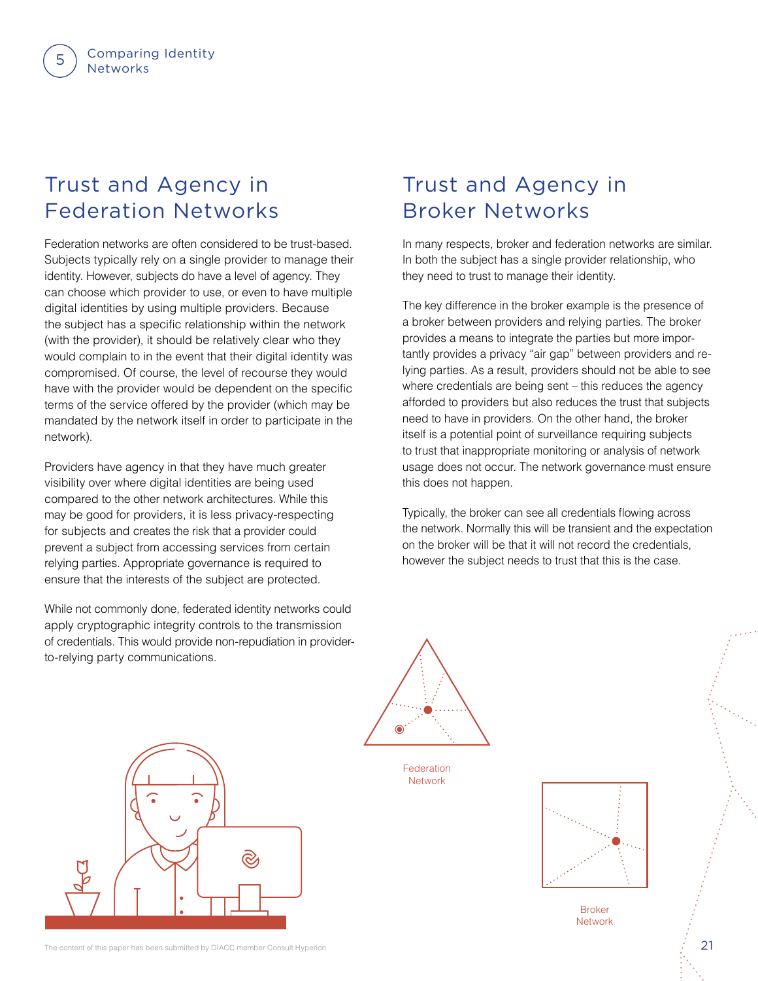### Trust and Agency in Federation Networks

Federation networks are often considered to be trust-based. Subjects typically rely on a single provider to manage their identity. However, subjects do have a level of agency. They can choose which provider to use, or even to have multiple digital identities by using multiple providers. Because the subject has a specific relationship within the network (with the provider), it should be relatively clear who they would complain to in the event that their digital identity was compromised. Of course, the level of recourse they would have with the provider would be dependent on the specific terms of the service offered by the provider (which may be mandated by the network itself in order to participate in the network).

Providers have agency in that they have much greater visibility over where digital identities are being used compared to the other network architectures. While this may be good for providers, it is less privacy-respecting for subjects and creates the risk that a provider could prevent a subject from accessing services from certain relying parties. Appropriate governance is required to ensure that the interests of the subject are protected.

While not commonly done, federated identity networks could apply cryptographic integrity controls to the transmission of credentials. This would provide non-repudiation in providerto-relying party communications.

### Trust and Agency in Broker Networks

In many respects, broker and federation networks are similar. In both the subject has a single provider relationship, who they need to trust to manage their identity.

The key difference in the broker example is the presence of a broker between providers and relying parties. The broker provides a means to integrate the parties but more importantly provides a privacy "air gap" between providers and relying parties. As a result, providers should not be able to see where credentials are being sent – this reduces the agency afforded to providers but also reduces the trust that subjects need to have in providers. On the other hand, the broker itself is a potential point of surveillance requiring subjects to trust that inappropriate monitoring or analysis of network usage does not occur. The network governance must ensure this does not happen.

Typically, the broker can see all credentials flowing across the network. Normally this will be transient and the expectation on the broker will be that it will not record the credentials, however the subject needs to trust that this is the case.



Federation **Network** 



Broker **Network** 

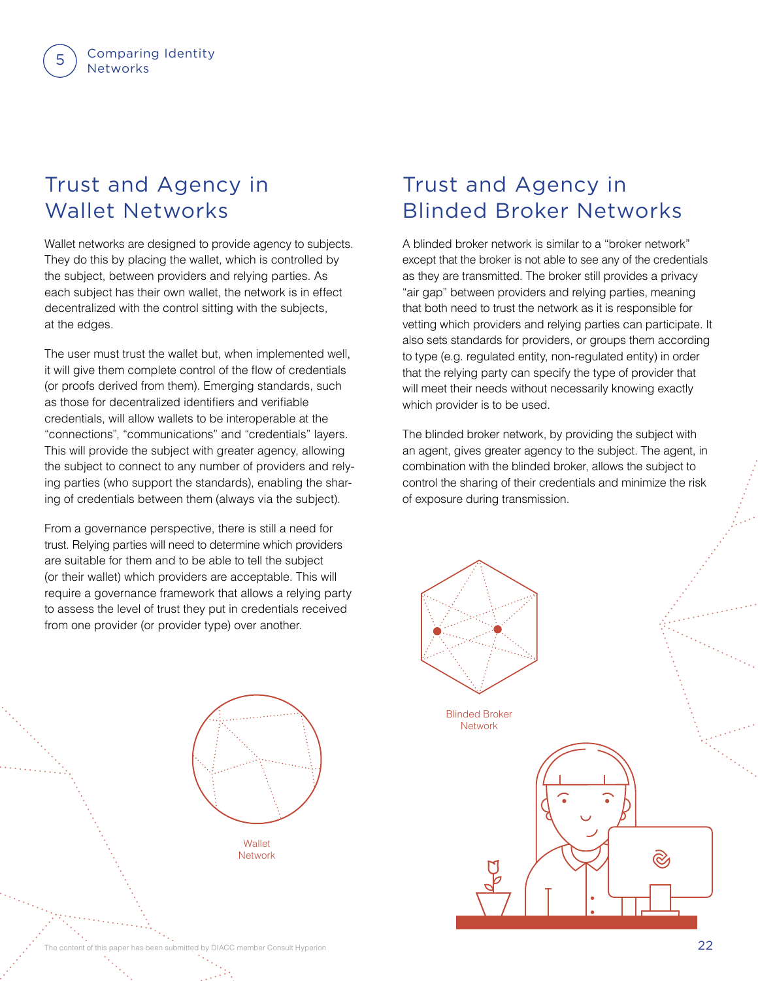### Trust and Agency in Wallet Networks

Comparing Identity

**Networks** 

Wallet networks are designed to provide agency to subjects. They do this by placing the wallet, which is controlled by the subject, between providers and relying parties. As each subject has their own wallet, the network is in effect decentralized with the control sitting with the subjects, at the edges.

The user must trust the wallet but, when implemented well, it will give them complete control of the flow of credentials (or proofs derived from them). Emerging standards, such as those for decentralized identifiers and verifiable credentials, will allow wallets to be interoperable at the "connections", "communications" and "credentials" layers. This will provide the subject with greater agency, allowing the subject to connect to any number of providers and relying parties (who support the standards), enabling the sharing of credentials between them (always via the subject).

From a governance perspective, there is still a need for trust. Relying parties will need to determine which providers are suitable for them and to be able to tell the subject (or their wallet) which providers are acceptable. This will require a governance framework that allows a relying party to assess the level of trust they put in credentials received from one provider (or provider type) over another.

### Trust and Agency in Blinded Broker Networks

A blinded broker network is similar to a "broker network" except that the broker is not able to see any of the credentials as they are transmitted. The broker still provides a privacy "air gap" between providers and relying parties, meaning that both need to trust the network as it is responsible for vetting which providers and relying parties can participate. It also sets standards for providers, or groups them according to type (e.g. regulated entity, non-regulated entity) in order that the relying party can specify the type of provider that will meet their needs without necessarily knowing exactly which provider is to be used.

The blinded broker network, by providing the subject with an agent, gives greater agency to the subject. The agent, in combination with the blinded broker, allows the subject to control the sharing of their credentials and minimize the risk of exposure during transmission.



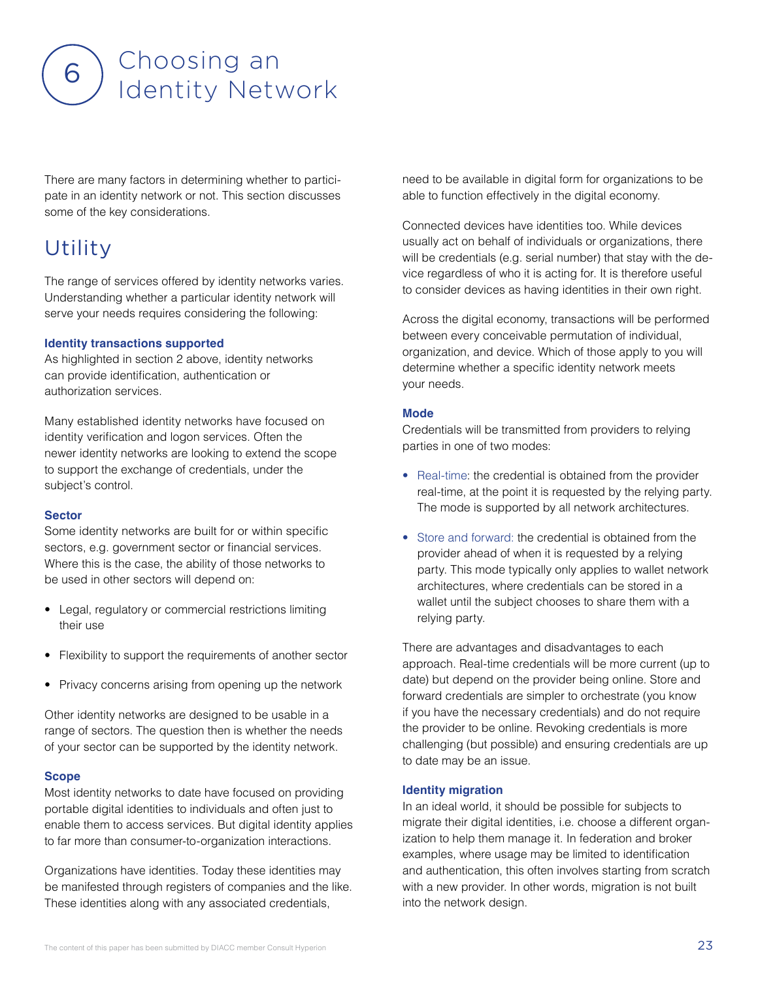

There are many factors in determining whether to participate in an identity network or not. This section discusses some of the key considerations.

### Utility

The range of services offered by identity networks varies. Understanding whether a particular identity network will serve your needs requires considering the following:

#### **Identity transactions supported**

As highlighted in section 2 above, identity networks can provide identification, authentication or authorization services.

Many established identity networks have focused on identity verification and logon services. Often the newer identity networks are looking to extend the scope to support the exchange of credentials, under the subject's control.

#### **Sector**

Some identity networks are built for or within specific sectors, e.g. government sector or financial services. Where this is the case, the ability of those networks to be used in other sectors will depend on:

- Legal, regulatory or commercial restrictions limiting their use
- Flexibility to support the requirements of another sector
- Privacy concerns arising from opening up the network

Other identity networks are designed to be usable in a range of sectors. The question then is whether the needs of your sector can be supported by the identity network.

#### **Scope**

Most identity networks to date have focused on providing portable digital identities to individuals and often just to enable them to access services. But digital identity applies to far more than consumer-to-organization interactions.

Organizations have identities. Today these identities may be manifested through registers of companies and the like. These identities along with any associated credentials,

need to be available in digital form for organizations to be able to function effectively in the digital economy.

Connected devices have identities too. While devices usually act on behalf of individuals or organizations, there will be credentials (e.g. serial number) that stay with the device regardless of who it is acting for. It is therefore useful to consider devices as having identities in their own right.

Across the digital economy, transactions will be performed between every conceivable permutation of individual, organization, and device. Which of those apply to you will determine whether a specific identity network meets your needs.

#### **Mode**

Credentials will be transmitted from providers to relying parties in one of two modes:

- Real-time: the credential is obtained from the provider real-time, at the point it is requested by the relying party. The mode is supported by all network architectures.
- Store and forward: the credential is obtained from the provider ahead of when it is requested by a relying party. This mode typically only applies to wallet network architectures, where credentials can be stored in a wallet until the subject chooses to share them with a relying party.

There are advantages and disadvantages to each approach. Real-time credentials will be more current (up to date) but depend on the provider being online. Store and forward credentials are simpler to orchestrate (you know if you have the necessary credentials) and do not require the provider to be online. Revoking credentials is more challenging (but possible) and ensuring credentials are up to date may be an issue.

#### **Identity migration**

In an ideal world, it should be possible for subjects to migrate their digital identities, i.e. choose a different organization to help them manage it. In federation and broker examples, where usage may be limited to identification and authentication, this often involves starting from scratch with a new provider. In other words, migration is not built into the network design.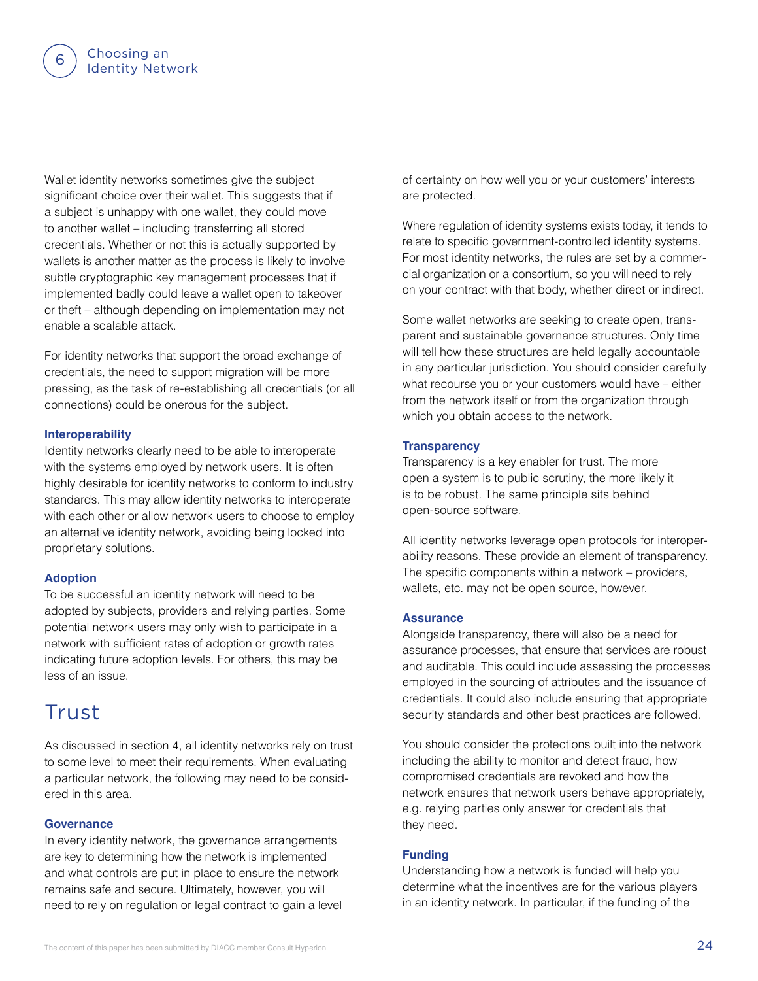Wallet identity networks sometimes give the subject significant choice over their wallet. This suggests that if a subject is unhappy with one wallet, they could move to another wallet – including transferring all stored credentials. Whether or not this is actually supported by wallets is another matter as the process is likely to involve subtle cryptographic key management processes that if implemented badly could leave a wallet open to takeover or theft – although depending on implementation may not enable a scalable attack.

For identity networks that support the broad exchange of credentials, the need to support migration will be more pressing, as the task of re-establishing all credentials (or all connections) could be onerous for the subject.

#### **Interoperability**

Identity networks clearly need to be able to interoperate with the systems employed by network users. It is often highly desirable for identity networks to conform to industry standards. This may allow identity networks to interoperate with each other or allow network users to choose to employ an alternative identity network, avoiding being locked into proprietary solutions.

#### **Adoption**

To be successful an identity network will need to be adopted by subjects, providers and relying parties. Some potential network users may only wish to participate in a network with sufficient rates of adoption or growth rates indicating future adoption levels. For others, this may be less of an issue.

### Trust

As discussed in section 4, all identity networks rely on trust to some level to meet their requirements. When evaluating a particular network, the following may need to be considered in this area.

#### **Governance**

In every identity network, the governance arrangements are key to determining how the network is implemented and what controls are put in place to ensure the network remains safe and secure. Ultimately, however, you will need to rely on regulation or legal contract to gain a level of certainty on how well you or your customers' interests are protected.

Where regulation of identity systems exists today, it tends to relate to specific government-controlled identity systems. For most identity networks, the rules are set by a commercial organization or a consortium, so you will need to rely on your contract with that body, whether direct or indirect.

Some wallet networks are seeking to create open, transparent and sustainable governance structures. Only time will tell how these structures are held legally accountable in any particular jurisdiction. You should consider carefully what recourse you or your customers would have – either from the network itself or from the organization through which you obtain access to the network.

#### **Transparency**

Transparency is a key enabler for trust. The more open a system is to public scrutiny, the more likely it is to be robust. The same principle sits behind open-source software.

All identity networks leverage open protocols for interoperability reasons. These provide an element of transparency. The specific components within a network – providers, wallets, etc. may not be open source, however.

#### **Assurance**

Alongside transparency, there will also be a need for assurance processes, that ensure that services are robust and auditable. This could include assessing the processes employed in the sourcing of attributes and the issuance of credentials. It could also include ensuring that appropriate security standards and other best practices are followed.

You should consider the protections built into the network including the ability to monitor and detect fraud, how compromised credentials are revoked and how the network ensures that network users behave appropriately, e.g. relying parties only answer for credentials that they need.

#### **Funding**

Understanding how a network is funded will help you determine what the incentives are for the various players in an identity network. In particular, if the funding of the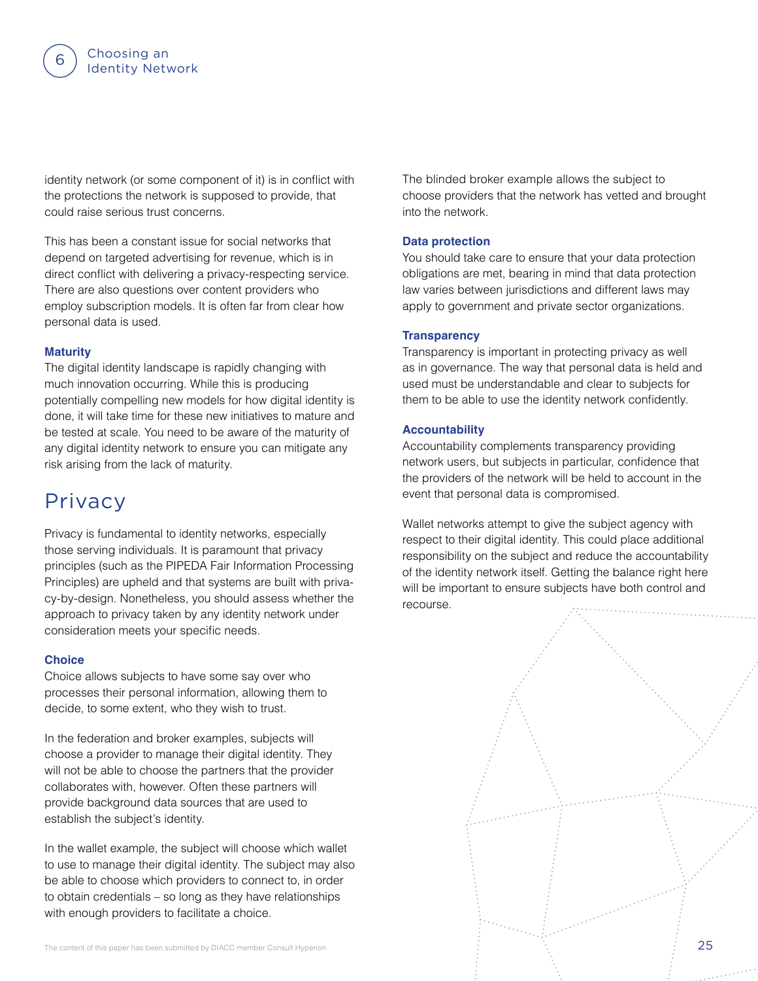identity network (or some component of it) is in conflict with the protections the network is supposed to provide, that could raise serious trust concerns.

This has been a constant issue for social networks that depend on targeted advertising for revenue, which is in direct conflict with delivering a privacy-respecting service. There are also questions over content providers who employ subscription models. It is often far from clear how personal data is used.

#### **Maturity**

The digital identity landscape is rapidly changing with much innovation occurring. While this is producing potentially compelling new models for how digital identity is done, it will take time for these new initiatives to mature and be tested at scale. You need to be aware of the maturity of any digital identity network to ensure you can mitigate any risk arising from the lack of maturity.

### Privacy

Privacy is fundamental to identity networks, especially those serving individuals. It is paramount that privacy principles (such as the PIPEDA Fair Information Processing Principles) are upheld and that systems are built with privacy-by-design. Nonetheless, you should assess whether the approach to privacy taken by any identity network under consideration meets your specific needs.

#### **Choice**

Choice allows subjects to have some say over who processes their personal information, allowing them to decide, to some extent, who they wish to trust.

In the federation and broker examples, subjects will choose a provider to manage their digital identity. They will not be able to choose the partners that the provider collaborates with, however. Often these partners will provide background data sources that are used to establish the subject's identity.

In the wallet example, the subject will choose which wallet to use to manage their digital identity. The subject may also be able to choose which providers to connect to, in order to obtain credentials – so long as they have relationships with enough providers to facilitate a choice.

The blinded broker example allows the subject to choose providers that the network has vetted and brought into the network.

#### **Data protection**

You should take care to ensure that your data protection obligations are met, bearing in mind that data protection law varies between jurisdictions and different laws may apply to government and private sector organizations.

#### **Transparency**

Transparency is important in protecting privacy as well as in governance. The way that personal data is held and used must be understandable and clear to subjects for them to be able to use the identity network confidently.

#### **Accountability**

Accountability complements transparency providing network users, but subjects in particular, confidence that the providers of the network will be held to account in the event that personal data is compromised.

Wallet networks attempt to give the subject agency with respect to their digital identity. This could place additional responsibility on the subject and reduce the accountability of the identity network itself. Getting the balance right here will be important to ensure subjects have both control and recourse.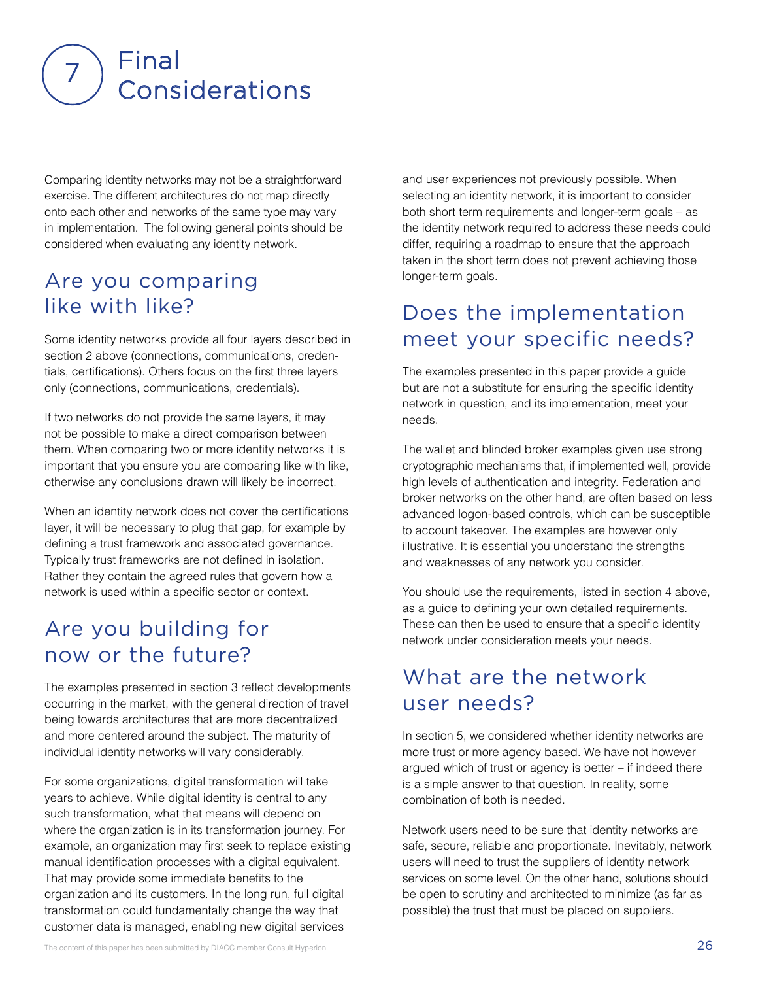

Comparing identity networks may not be a straightforward exercise. The different architectures do not map directly onto each other and networks of the same type may vary in implementation. The following general points should be considered when evaluating any identity network.

### Are you comparing like with like?

Some identity networks provide all four layers described in section 2 above (connections, communications, credentials, certifications). Others focus on the first three layers only (connections, communications, credentials).

If two networks do not provide the same layers, it may not be possible to make a direct comparison between them. When comparing two or more identity networks it is important that you ensure you are comparing like with like, otherwise any conclusions drawn will likely be incorrect.

When an identity network does not cover the certifications layer, it will be necessary to plug that gap, for example by defining a trust framework and associated governance. Typically trust frameworks are not defined in isolation. Rather they contain the agreed rules that govern how a network is used within a specific sector or context.

### Are you building for now or the future?

The examples presented in section 3 reflect developments occurring in the market, with the general direction of travel being towards architectures that are more decentralized and more centered around the subject. The maturity of individual identity networks will vary considerably.

For some organizations, digital transformation will take years to achieve. While digital identity is central to any such transformation, what that means will depend on where the organization is in its transformation journey. For example, an organization may first seek to replace existing manual identification processes with a digital equivalent. That may provide some immediate benefits to the organization and its customers. In the long run, full digital transformation could fundamentally change the way that customer data is managed, enabling new digital services

and user experiences not previously possible. When selecting an identity network, it is important to consider both short term requirements and longer-term goals – as the identity network required to address these needs could differ, requiring a roadmap to ensure that the approach taken in the short term does not prevent achieving those longer-term goals.

### Does the implementation meet your specific needs?

The examples presented in this paper provide a guide but are not a substitute for ensuring the specific identity network in question, and its implementation, meet your needs.

The wallet and blinded broker examples given use strong cryptographic mechanisms that, if implemented well, provide high levels of authentication and integrity. Federation and broker networks on the other hand, are often based on less advanced logon-based controls, which can be susceptible to account takeover. The examples are however only illustrative. It is essential you understand the strengths and weaknesses of any network you consider.

You should use the requirements, listed in section 4 above, as a guide to defining your own detailed requirements. These can then be used to ensure that a specific identity network under consideration meets your needs.

### What are the network user needs?

In section 5, we considered whether identity networks are more trust or more agency based. We have not however argued which of trust or agency is better – if indeed there is a simple answer to that question. In reality, some combination of both is needed.

Network users need to be sure that identity networks are safe, secure, reliable and proportionate. Inevitably, network users will need to trust the suppliers of identity network services on some level. On the other hand, solutions should be open to scrutiny and architected to minimize (as far as possible) the trust that must be placed on suppliers.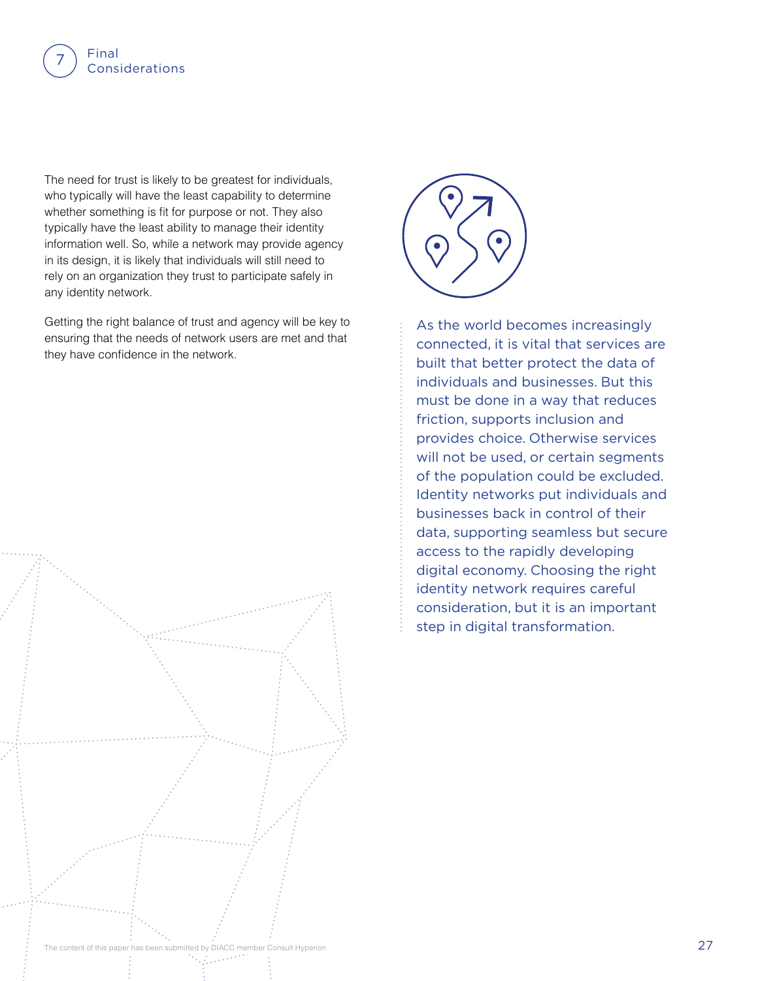

The need for trust is likely to be greatest for individuals, who typically will have the least capability to determine whether something is fit for purpose or not. They also typically have the least ability to manage their identity information well. So, while a network may provide agency in its design, it is likely that individuals will still need to rely on an organization they trust to participate safely in any identity network.

Getting the right balance of trust and agency will be key to ensuring that the needs of network users are met and that they have confidence in the network.





As the world becomes increasingly connected, it is vital that services are built that better protect the data of individuals and businesses. But this must be done in a way that reduces friction, supports inclusion and provides choice. Otherwise services will not be used, or certain segments of the population could be excluded. Identity networks put individuals and businesses back in control of their data, supporting seamless but secure access to the rapidly developing digital economy. Choosing the right identity network requires careful consideration, but it is an important step in digital transformation.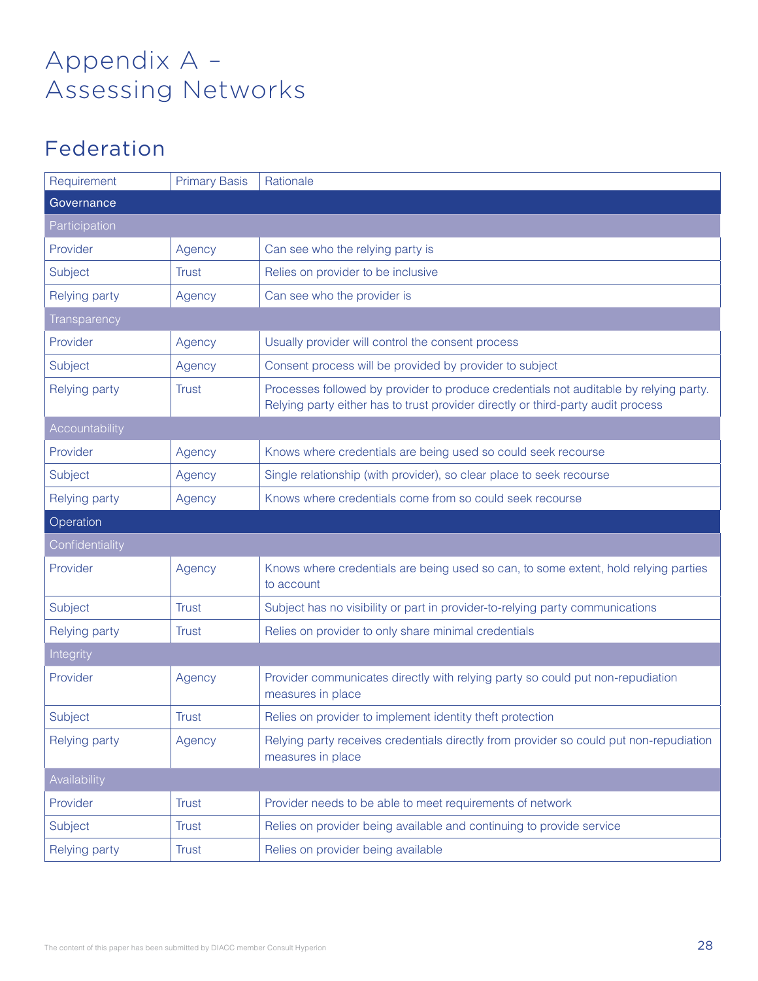# Appendix A – Assessing Networks

### Federation

| Requirement          | <b>Primary Basis</b> | Rationale                                                                                                                                                                 |
|----------------------|----------------------|---------------------------------------------------------------------------------------------------------------------------------------------------------------------------|
| Governance           |                      |                                                                                                                                                                           |
| Participation        |                      |                                                                                                                                                                           |
| Provider             | Agency               | Can see who the relying party is                                                                                                                                          |
| Subject              | <b>Trust</b>         | Relies on provider to be inclusive                                                                                                                                        |
| <b>Relying party</b> | Agency               | Can see who the provider is                                                                                                                                               |
| Transparency         |                      |                                                                                                                                                                           |
| Provider             | Agency               | Usually provider will control the consent process                                                                                                                         |
| Subject              | Agency               | Consent process will be provided by provider to subject                                                                                                                   |
| Relying party        | <b>Trust</b>         | Processes followed by provider to produce credentials not auditable by relying party.<br>Relying party either has to trust provider directly or third-party audit process |
| Accountability       |                      |                                                                                                                                                                           |
| Provider             | Agency               | Knows where credentials are being used so could seek recourse                                                                                                             |
| Subject              | Agency               | Single relationship (with provider), so clear place to seek recourse                                                                                                      |
| Relying party        | Agency               | Knows where credentials come from so could seek recourse                                                                                                                  |
|                      |                      |                                                                                                                                                                           |
| Operation            |                      |                                                                                                                                                                           |
| Confidentiality      |                      |                                                                                                                                                                           |
| Provider             | Agency               | Knows where credentials are being used so can, to some extent, hold relying parties<br>to account                                                                         |
| Subject              | <b>Trust</b>         | Subject has no visibility or part in provider-to-relying party communications                                                                                             |
| Relying party        | <b>Trust</b>         | Relies on provider to only share minimal credentials                                                                                                                      |
| Integrity            |                      |                                                                                                                                                                           |
| Provider             | Agency               | Provider communicates directly with relying party so could put non-repudiation<br>measures in place                                                                       |
| Subject              | <b>Trust</b>         | Relies on provider to implement identity theft protection                                                                                                                 |
| Relying party        | Agency               | Relying party receives credentials directly from provider so could put non-repudiation<br>measures in place                                                               |
| Availability         |                      |                                                                                                                                                                           |
| Provider             | <b>Trust</b>         | Provider needs to be able to meet requirements of network                                                                                                                 |
| Subject              | <b>Trust</b>         | Relies on provider being available and continuing to provide service                                                                                                      |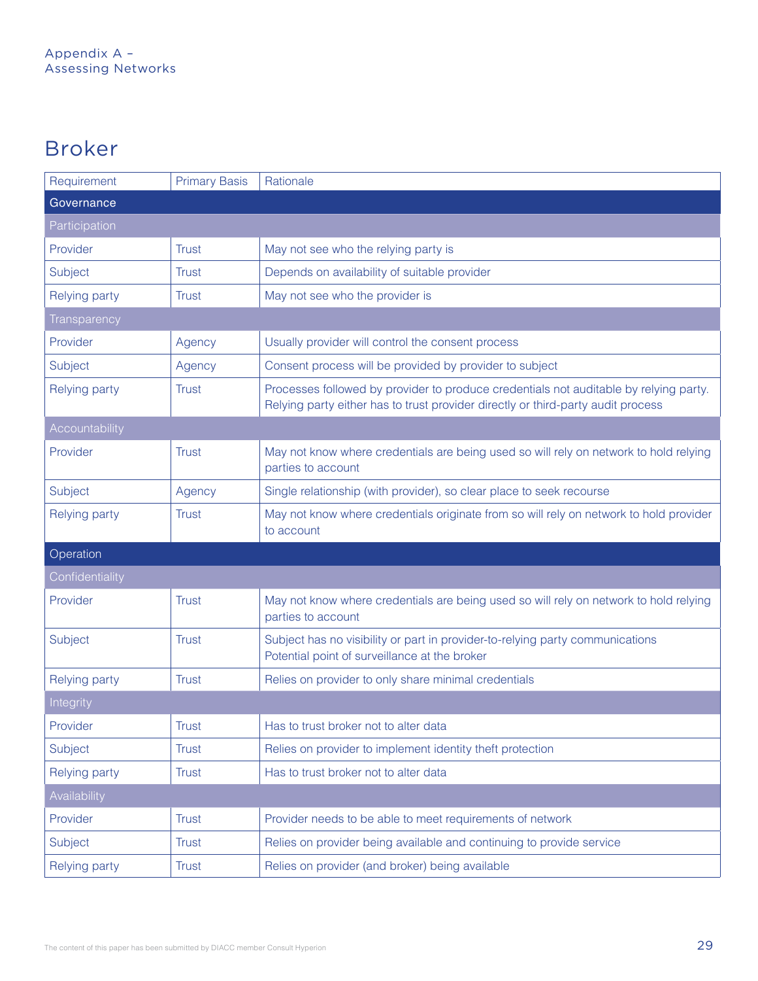### Broker

| Requirement          | <b>Primary Basis</b> | Rationale                                                                                                                                                                 |
|----------------------|----------------------|---------------------------------------------------------------------------------------------------------------------------------------------------------------------------|
| Governance           |                      |                                                                                                                                                                           |
| Participation        |                      |                                                                                                                                                                           |
| Provider             | <b>Trust</b>         | May not see who the relying party is                                                                                                                                      |
| Subject              | <b>Trust</b>         | Depends on availability of suitable provider                                                                                                                              |
| Relying party        | Trust                | May not see who the provider is                                                                                                                                           |
| Transparency         |                      |                                                                                                                                                                           |
| Provider             | Agency               | Usually provider will control the consent process                                                                                                                         |
| Subject              | Agency               | Consent process will be provided by provider to subject                                                                                                                   |
| Relying party        | <b>Trust</b>         | Processes followed by provider to produce credentials not auditable by relying party.<br>Relying party either has to trust provider directly or third-party audit process |
| Accountability       |                      |                                                                                                                                                                           |
| Provider             | <b>Trust</b>         | May not know where credentials are being used so will rely on network to hold relying<br>parties to account                                                               |
| Subject              | Agency               | Single relationship (with provider), so clear place to seek recourse                                                                                                      |
| Relying party        | <b>Trust</b>         | May not know where credentials originate from so will rely on network to hold provider<br>to account                                                                      |
| Operation            |                      |                                                                                                                                                                           |
| Confidentiality      |                      |                                                                                                                                                                           |
| Provider             | <b>Trust</b>         | May not know where credentials are being used so will rely on network to hold relying<br>parties to account                                                               |
| Subject              | <b>Trust</b>         | Subject has no visibility or part in provider-to-relying party communications<br>Potential point of surveillance at the broker                                            |
| <b>Relying party</b> | <b>Trust</b>         | Relies on provider to only share minimal credentials                                                                                                                      |
| Integrity            |                      |                                                                                                                                                                           |
| Provider             | <b>Trust</b>         | Has to trust broker not to alter data                                                                                                                                     |
| Subject              | <b>Trust</b>         | Relies on provider to implement identity theft protection                                                                                                                 |
| <b>Relying party</b> | <b>Trust</b>         | Has to trust broker not to alter data                                                                                                                                     |
| Availability         |                      |                                                                                                                                                                           |
| Provider             | <b>Trust</b>         | Provider needs to be able to meet requirements of network                                                                                                                 |
| Subject              | <b>Trust</b>         | Relies on provider being available and continuing to provide service                                                                                                      |
| Relying party        | <b>Trust</b>         | Relies on provider (and broker) being available                                                                                                                           |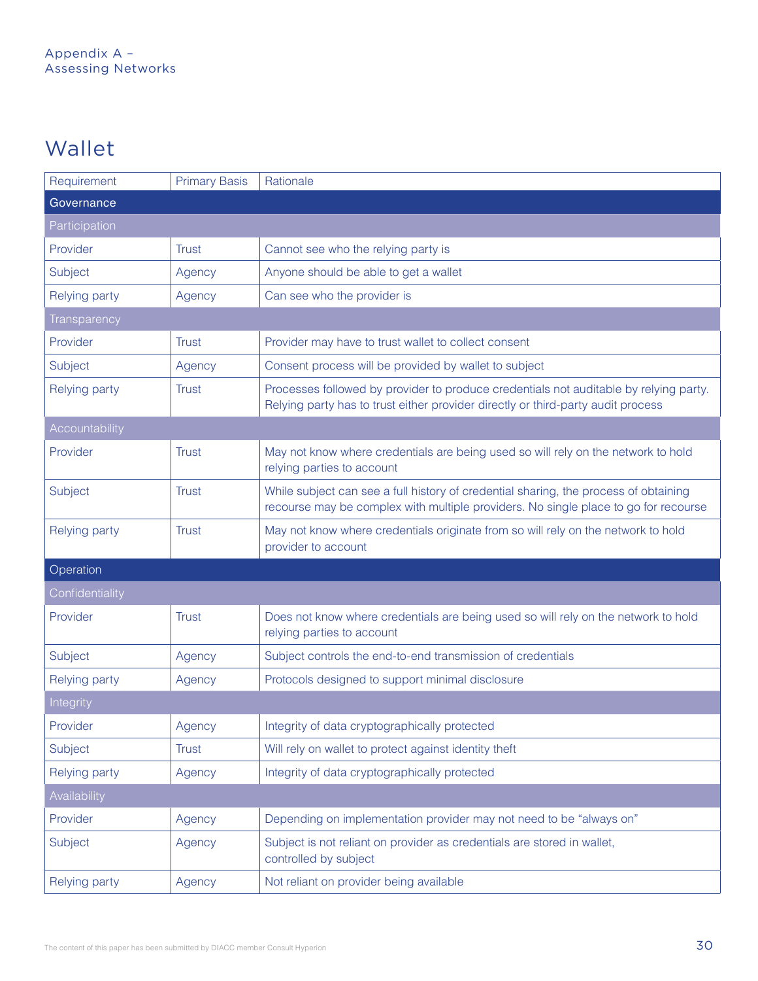### Wallet

| Requirement          | <b>Primary Basis</b> | Rationale                                                                                                                                                                   |
|----------------------|----------------------|-----------------------------------------------------------------------------------------------------------------------------------------------------------------------------|
| Governance           |                      |                                                                                                                                                                             |
| Participation        |                      |                                                                                                                                                                             |
| Provider             | <b>Trust</b>         | Cannot see who the relying party is                                                                                                                                         |
| Subject              | Agency               | Anyone should be able to get a wallet                                                                                                                                       |
| <b>Relying party</b> | Agency               | Can see who the provider is                                                                                                                                                 |
| Transparency         |                      |                                                                                                                                                                             |
| Provider             | <b>Trust</b>         | Provider may have to trust wallet to collect consent                                                                                                                        |
| Subject              | Agency               | Consent process will be provided by wallet to subject                                                                                                                       |
| <b>Relying party</b> | <b>Trust</b>         | Processes followed by provider to produce credentials not auditable by relying party.<br>Relying party has to trust either provider directly or third-party audit process   |
| Accountability       |                      |                                                                                                                                                                             |
| Provider             | <b>Trust</b>         | May not know where credentials are being used so will rely on the network to hold<br>relying parties to account                                                             |
| Subject              | <b>Trust</b>         | While subject can see a full history of credential sharing, the process of obtaining<br>recourse may be complex with multiple providers. No single place to go for recourse |
| <b>Relying party</b> | <b>Trust</b>         | May not know where credentials originate from so will rely on the network to hold<br>provider to account                                                                    |
| Operation            |                      |                                                                                                                                                                             |
| Confidentiality      |                      |                                                                                                                                                                             |
| Provider             | <b>Trust</b>         | Does not know where credentials are being used so will rely on the network to hold<br>relying parties to account                                                            |
| Subject              | Agency               | Subject controls the end-to-end transmission of credentials                                                                                                                 |
| Relying party        | Agency               | Protocols designed to support minimal disclosure                                                                                                                            |
| <b>Integrity</b>     |                      |                                                                                                                                                                             |
| Provider             | Agency               | Integrity of data cryptographically protected                                                                                                                               |
| Subject              | <b>Trust</b>         | Will rely on wallet to protect against identity theft                                                                                                                       |
| <b>Relying party</b> | Agency               | Integrity of data cryptographically protected                                                                                                                               |
| Availability         |                      |                                                                                                                                                                             |
| Provider             | Agency               | Depending on implementation provider may not need to be "always on"                                                                                                         |
| Subject              | Agency               | Subject is not reliant on provider as credentials are stored in wallet,<br>controlled by subject                                                                            |
| Relying party        | Agency               | Not reliant on provider being available                                                                                                                                     |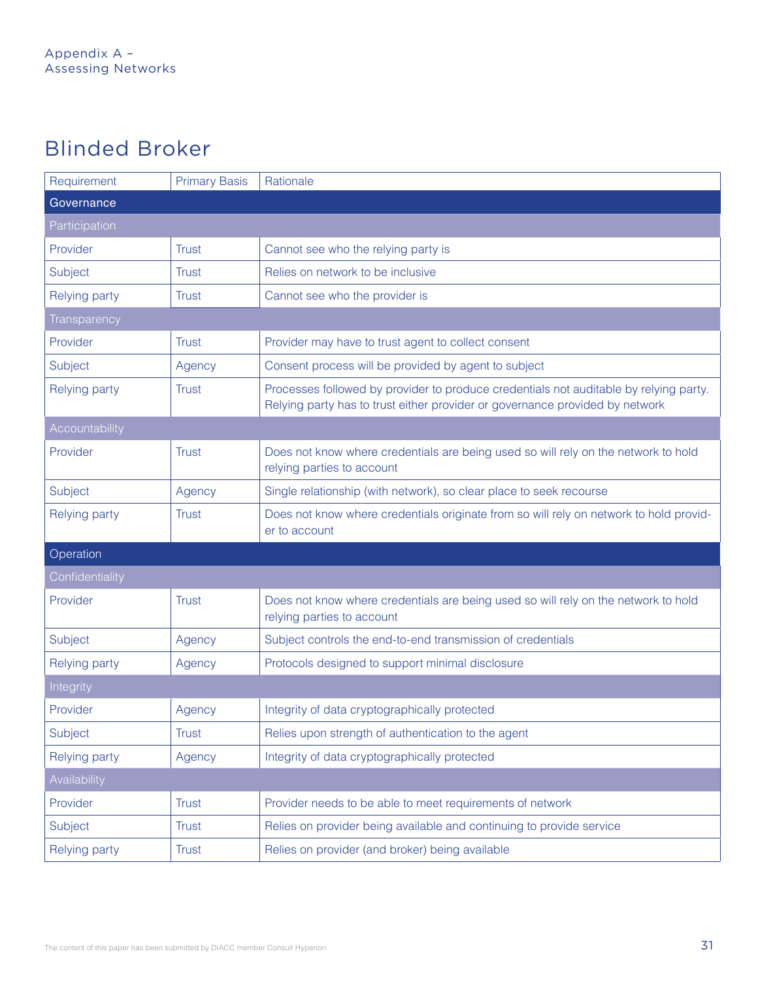### Blinded Broker

| Requirement          | <b>Primary Basis</b> | Rationale                                                                                                                                                             |
|----------------------|----------------------|-----------------------------------------------------------------------------------------------------------------------------------------------------------------------|
| Governance           |                      |                                                                                                                                                                       |
| Participation        |                      |                                                                                                                                                                       |
| Provider             | <b>Trust</b>         | Cannot see who the relying party is                                                                                                                                   |
| Subject              | <b>Trust</b>         | Relies on network to be inclusive                                                                                                                                     |
| <b>Relying party</b> | <b>Trust</b>         | Cannot see who the provider is                                                                                                                                        |
| Transparency         |                      |                                                                                                                                                                       |
| Provider             | <b>Trust</b>         | Provider may have to trust agent to collect consent                                                                                                                   |
| Subject              | Agency               | Consent process will be provided by agent to subject                                                                                                                  |
| Relying party        | <b>Trust</b>         | Processes followed by provider to produce credentials not auditable by relying party.<br>Relying party has to trust either provider or governance provided by network |
| Accountability       |                      |                                                                                                                                                                       |
| Provider             | <b>Trust</b>         | Does not know where credentials are being used so will rely on the network to hold<br>relying parties to account                                                      |
| Subject              | Agency               | Single relationship (with network), so clear place to seek recourse                                                                                                   |
| <b>Relying party</b> | <b>Trust</b>         | Does not know where credentials originate from so will rely on network to hold provid-<br>er to account                                                               |
| Operation            |                      |                                                                                                                                                                       |
| Confidentiality      |                      |                                                                                                                                                                       |
| Provider             | <b>Trust</b>         | Does not know where credentials are being used so will rely on the network to hold<br>relying parties to account                                                      |
| Subject              | Agency               | Subject controls the end-to-end transmission of credentials                                                                                                           |
| <b>Relying party</b> | Agency               | Protocols designed to support minimal disclosure                                                                                                                      |
| Integrity            |                      |                                                                                                                                                                       |
| Provider             | Agency               | Integrity of data cryptographically protected                                                                                                                         |
| Subject              | <b>Trust</b>         | Relies upon strength of authentication to the agent                                                                                                                   |
| <b>Relying party</b> | Agency               | Integrity of data cryptographically protected                                                                                                                         |
| Availability         |                      |                                                                                                                                                                       |
| Provider             | <b>Trust</b>         | Provider needs to be able to meet requirements of network                                                                                                             |
| Subject              | <b>Trust</b>         | Relies on provider being available and continuing to provide service                                                                                                  |
| Relying party        | <b>Trust</b>         | Relies on provider (and broker) being available                                                                                                                       |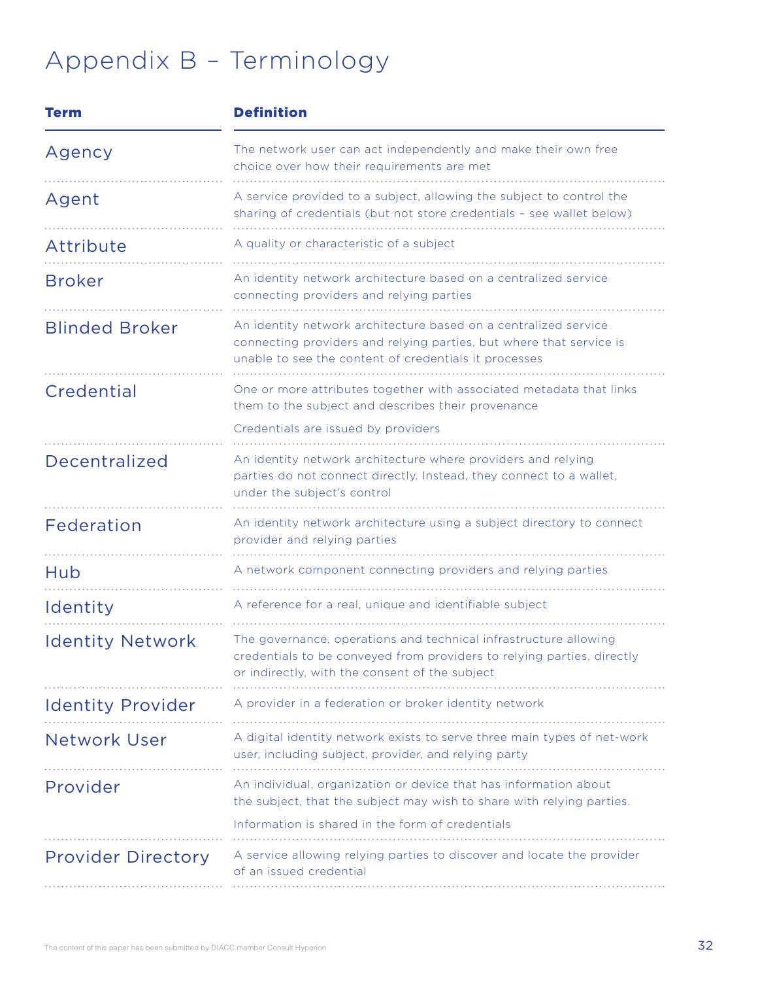# Appendix B – Terminology

| <b>Term</b>               | <b>Definition</b>                                                                                                                                                                               |
|---------------------------|-------------------------------------------------------------------------------------------------------------------------------------------------------------------------------------------------|
| Agency                    | The network user can act independently and make their own free<br>choice over how their requirements are met                                                                                    |
| Agent                     | A service provided to a subject, allowing the subject to control the<br>sharing of credentials (but not store credentials - see wallet below)                                                   |
| Attribute                 | A quality or characteristic of a subject                                                                                                                                                        |
| <b>Broker</b>             | An identity network architecture based on a centralized service<br>connecting providers and relying parties                                                                                     |
| <b>Blinded Broker</b>     | An identity network architecture based on a centralized service<br>connecting providers and relying parties, but where that service is<br>unable to see the content of credentials it processes |
| Credential                | One or more attributes together with associated metadata that links<br>them to the subject and describes their provenance                                                                       |
|                           | Credentials are issued by providers                                                                                                                                                             |
| Decentralized             | An identity network architecture where providers and relying<br>parties do not connect directly. Instead, they connect to a wallet,<br>under the subject's control                              |
| Federation                | An identity network architecture using a subject directory to connect<br>provider and relying parties                                                                                           |
| Hub                       | A network component connecting providers and relying parties                                                                                                                                    |
| Identity                  | A reference for a real, unique and identifiable subject                                                                                                                                         |
| <b>Identity Network</b>   | The governance, operations and technical infrastructure allowing<br>credentials to be conveyed from providers to relying parties, directly<br>or indirectly, with the consent of the subject    |
| <b>Identity Provider</b>  | A provider in a federation or broker identity network                                                                                                                                           |
| <b>Network User</b>       | A digital identity network exists to serve three main types of net-work<br>user, including subject, provider, and relying party                                                                 |
| Provider                  | An individual, organization or device that has information about<br>the subject, that the subject may wish to share with relying parties.                                                       |
|                           | Information is shared in the form of credentials                                                                                                                                                |
| <b>Provider Directory</b> | A service allowing relying parties to discover and locate the provider<br>of an issued credential                                                                                               |